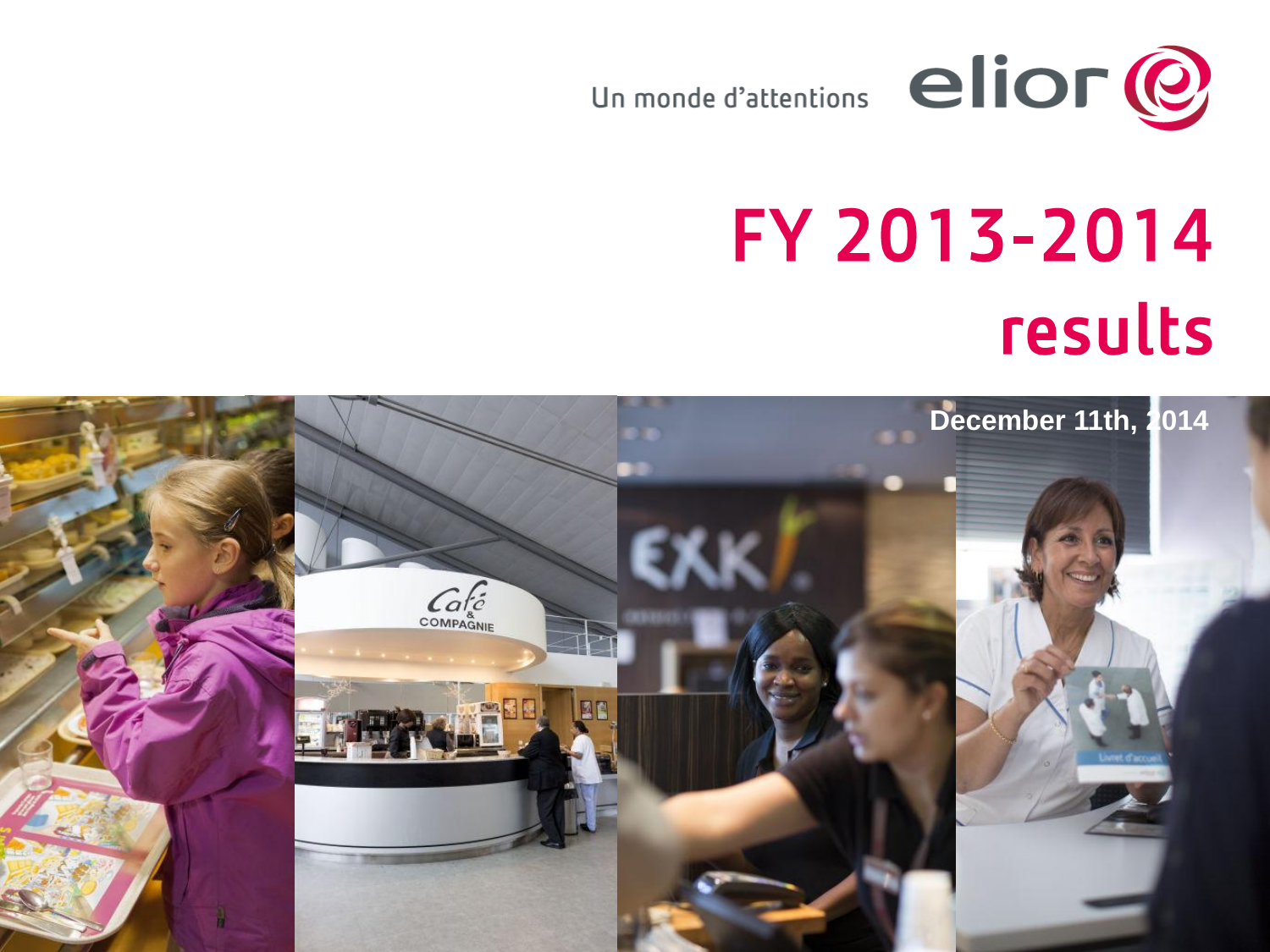

# FY 2013-2014 results

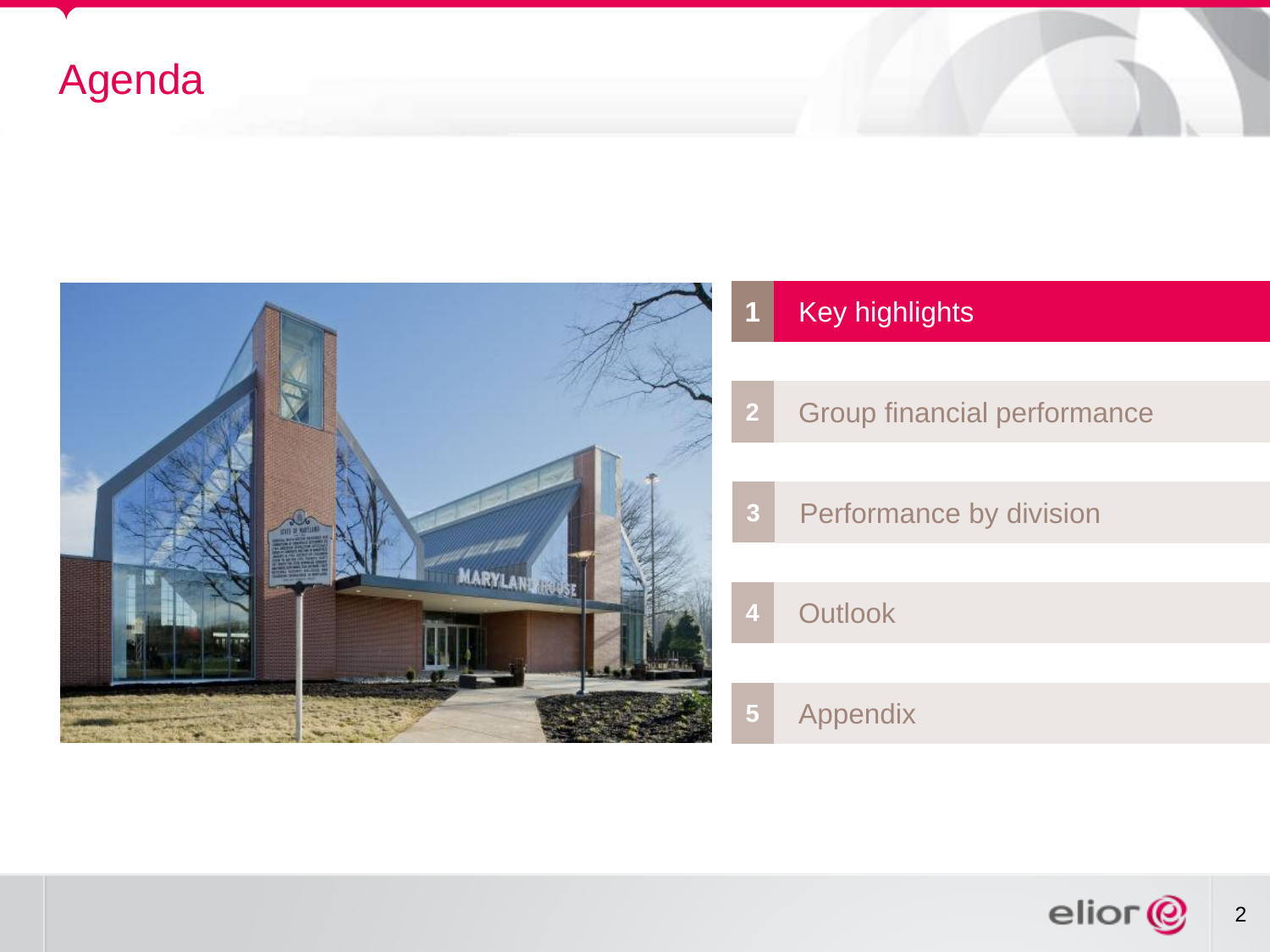## Agenda



#### Key highlights

- Group financial performance
- Performance by division
	- Outlook

Appendix

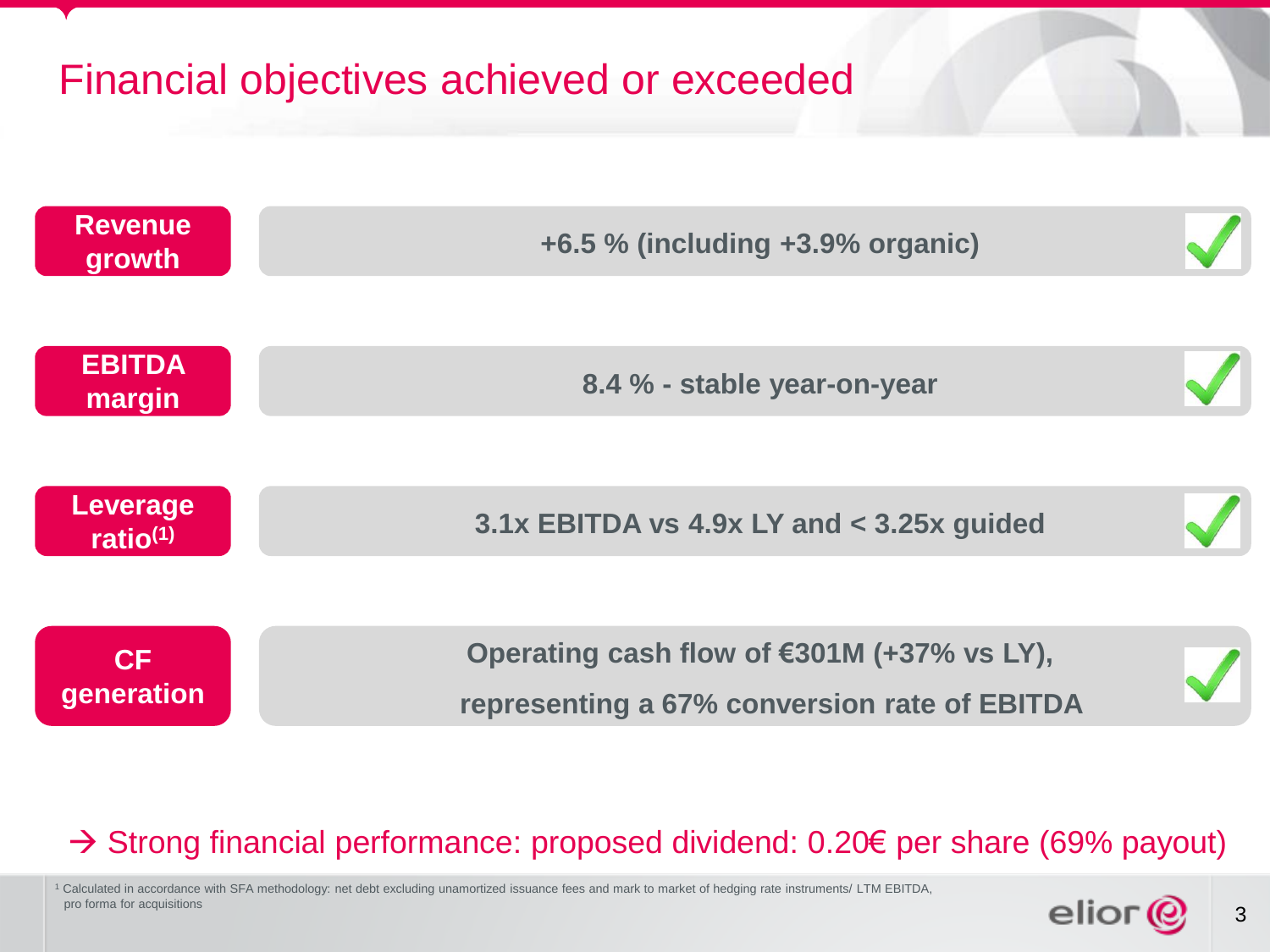## Financial objectives achieved or exceeded



#### → Strong financial performance: proposed dividend: 0.20€ per share (69% payout)

<sup>1</sup> Calculated in accordance with SFA methodology: net debt excluding unamortized issuance fees and mark to market of hedging rate instruments/ LTM EBITDA, pro forma for acquisitions

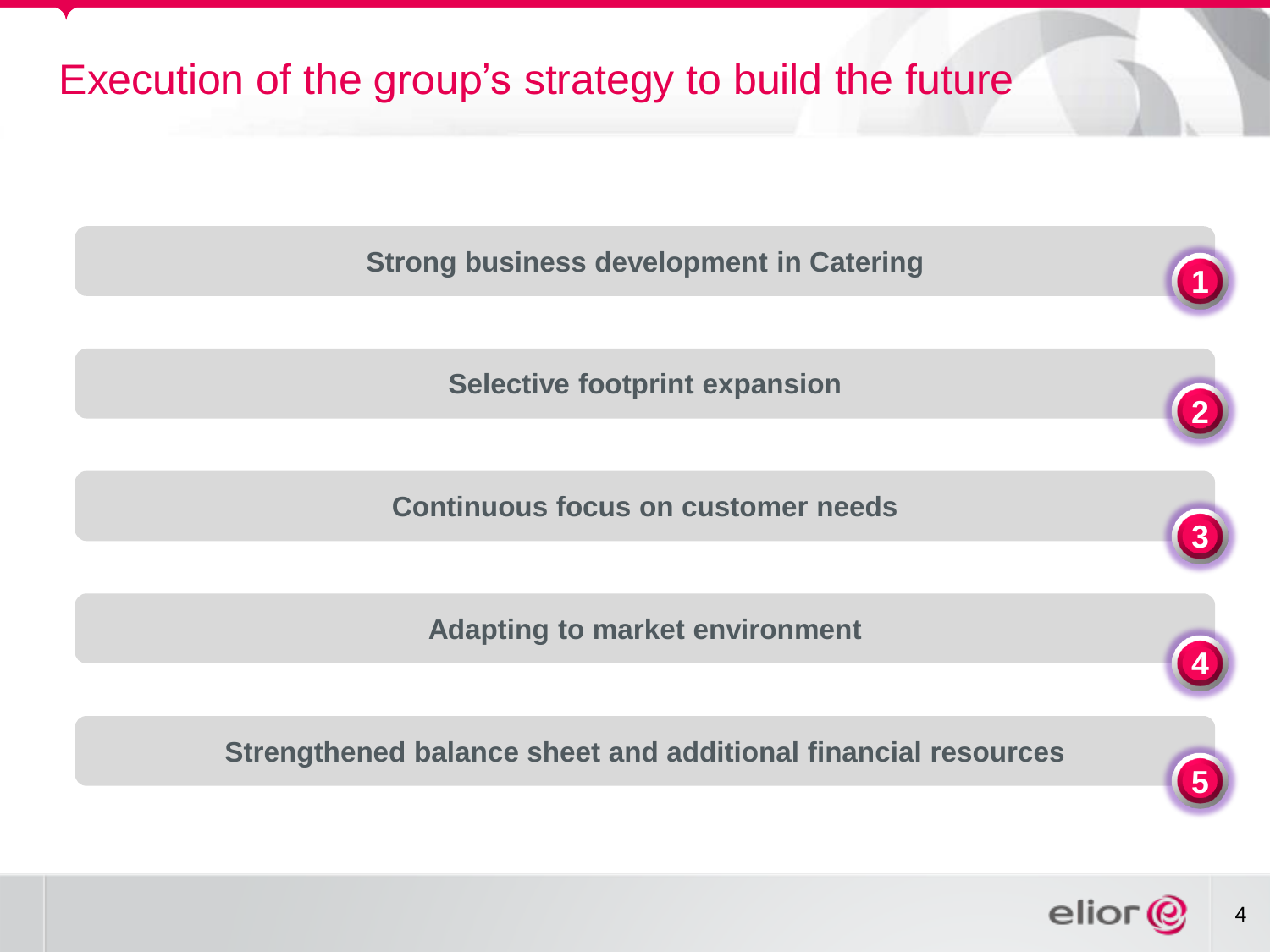## Execution of the group's strategy to build the future

**Strong business development in Catering** 

**Selective footprint expansion**

**Continuous focus on customer needs**

**Adapting to market environment**

**Strengthened balance sheet and additional financial resources**



**2**

**3**

**4**

**5**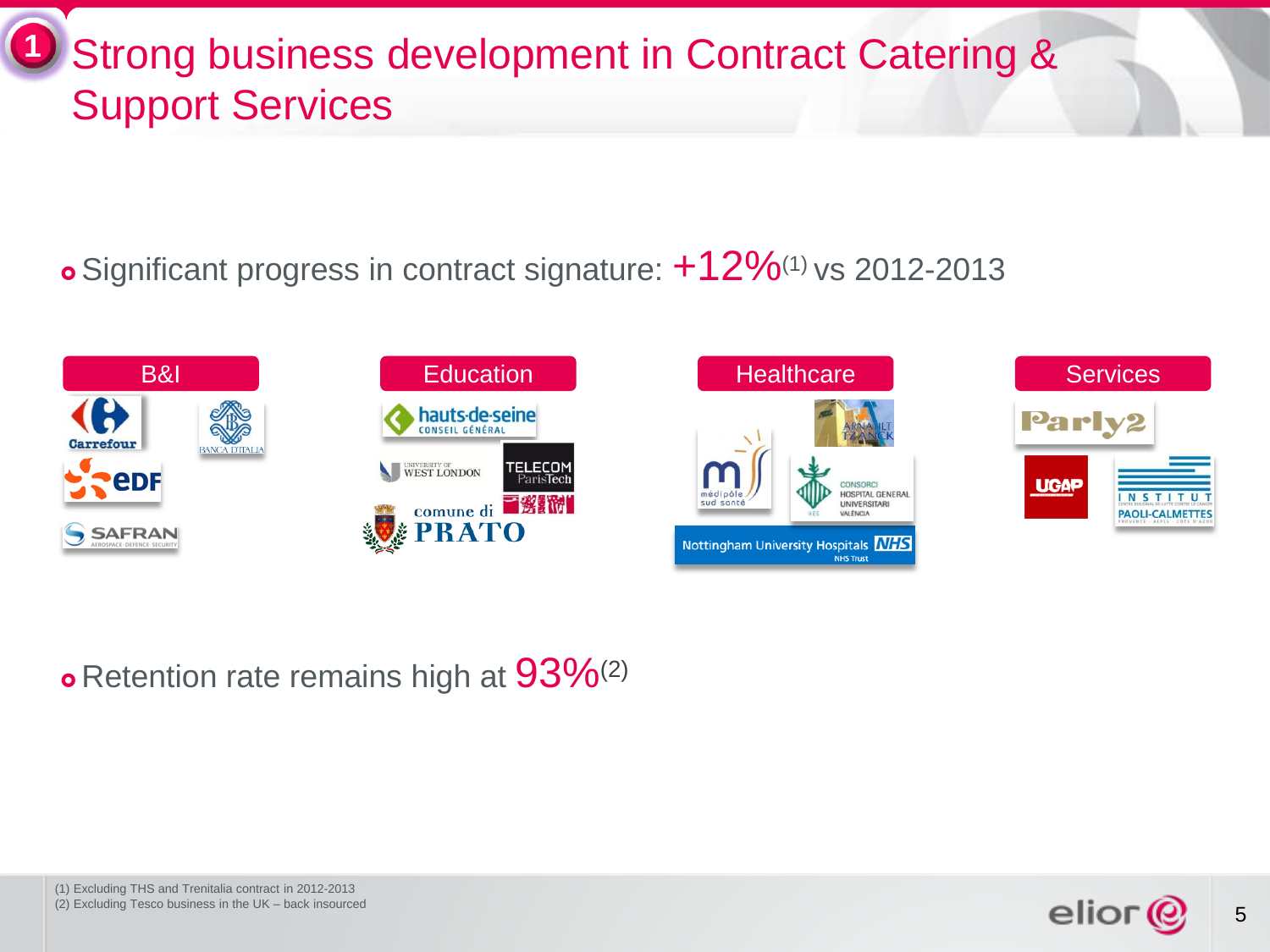#### Strong business development in Contract Catering & Support Services **1**

o Significant progress in contract signature:  $+12\%$ <sup>(1)</sup> vs 2012-2013



#### **o** Retention rate remains high at  $93\%^{(2)}$

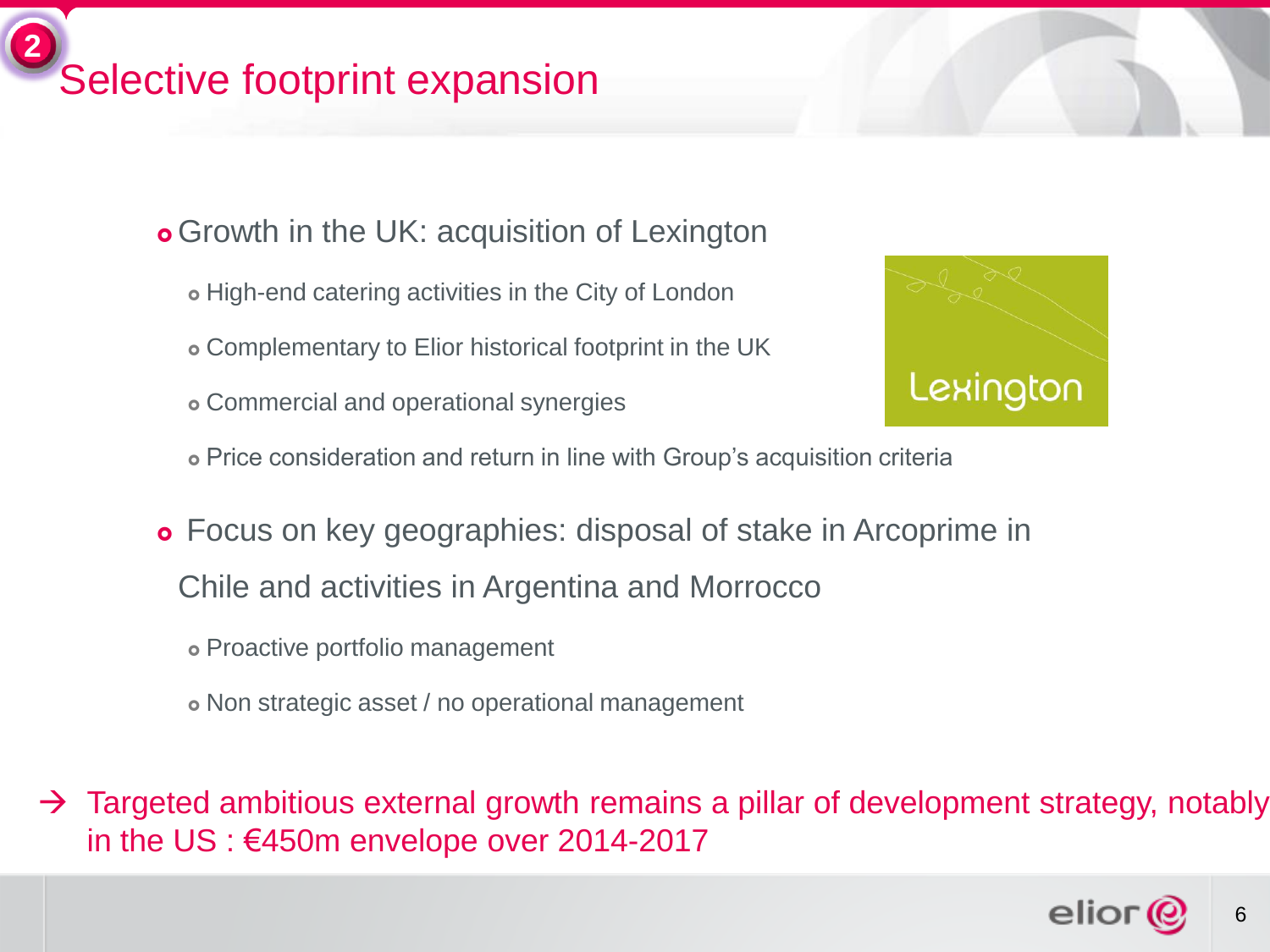## Selective footprint expansion **2**

- **o** Growth in the UK: acquisition of Lexington
	- High-end catering activities in the City of London
	- Complementary to Elior historical footprint in the UK
	- Commercial and operational synergies



- Price consideration and return in line with Group's acquisition criteria
- Focus on key geographies: disposal of stake in Arcoprime in Chile and activities in Argentina and Morrocco
	- Proactive portfolio management
	- Non strategic asset / no operational management

 $\rightarrow$  Targeted ambitious external growth remains a pillar of development strategy, notably in the US : €450m envelope over 2014-2017

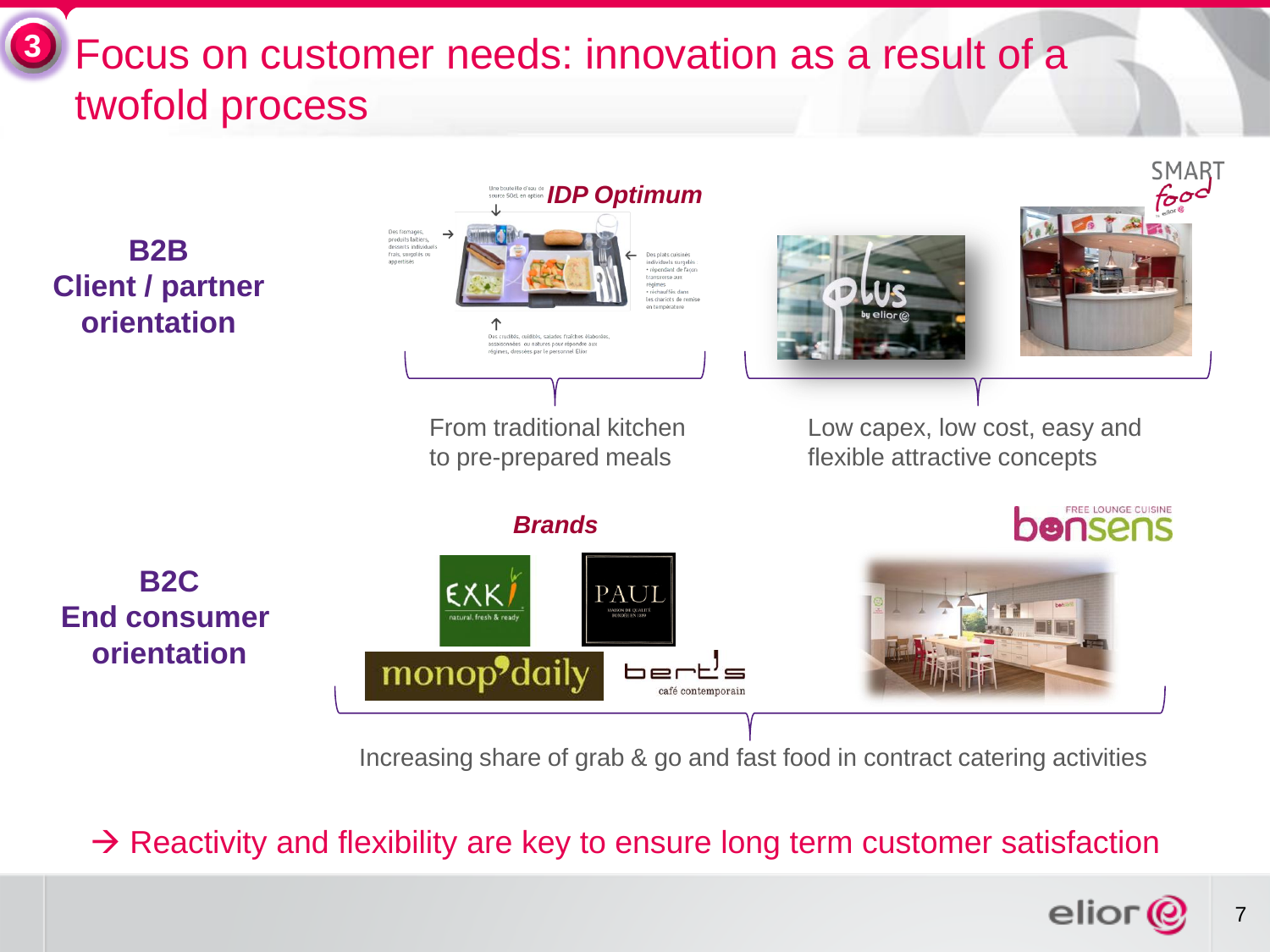#### Focus on customer needs: innovation as a result of a twofold process **3**



Increasing share of grab & go and fast food in contract catering activities

 $\rightarrow$  Reactivity and flexibility are key to ensure long term customer satisfaction

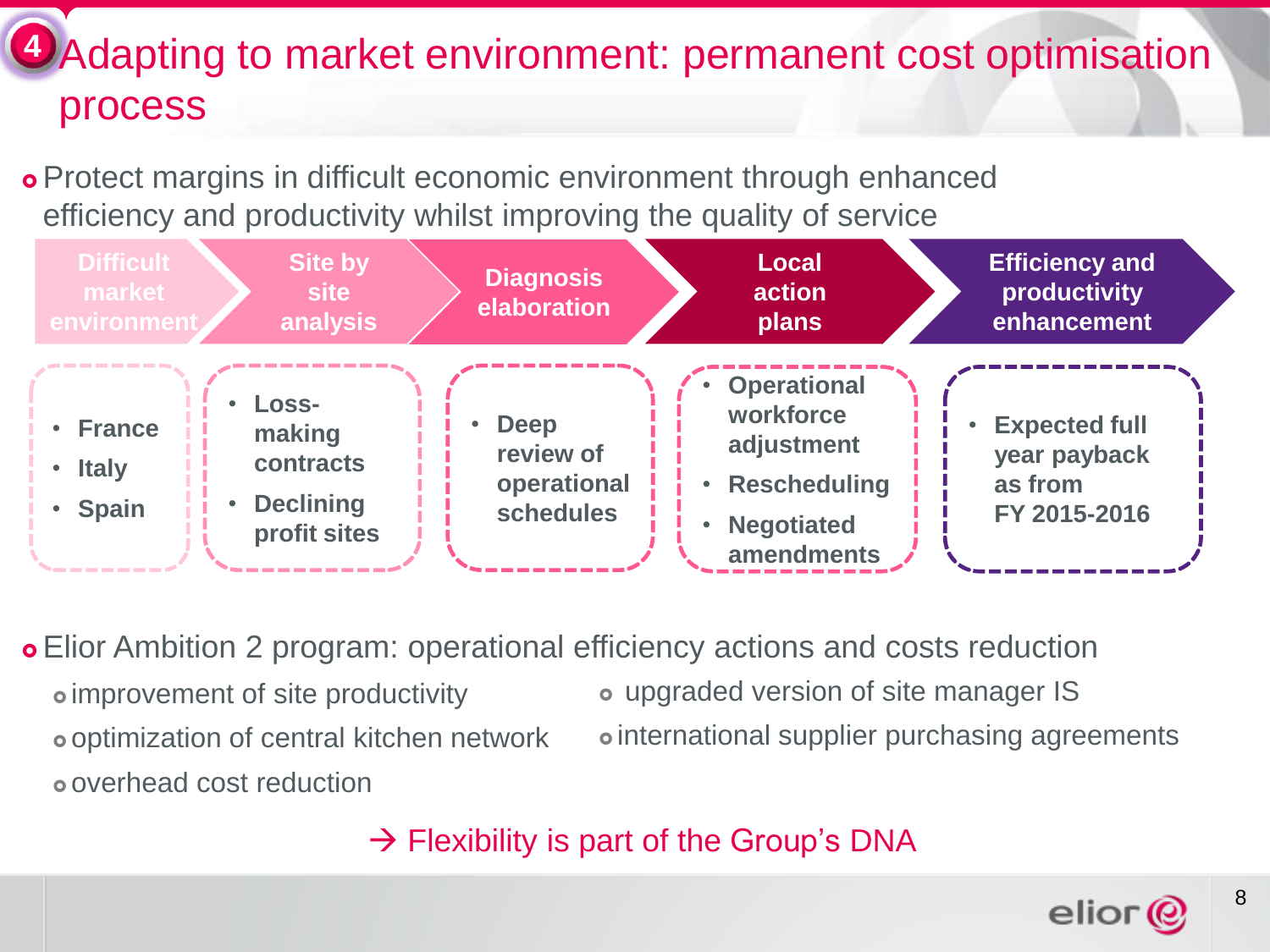#### **4** Adapting to market environment: permanent cost optimisation process

 Protect margins in difficult economic environment through enhanced efficiency and productivity whilst improving the quality of service



 Elior Ambition 2 program: operational efficiency actions and costs reduction improvement of site productivity optimization of central kitchen network overhead cost reduction upgraded version of site manager IS international supplier purchasing agreements

 $\rightarrow$  Flexibility is part of the Group's DNA

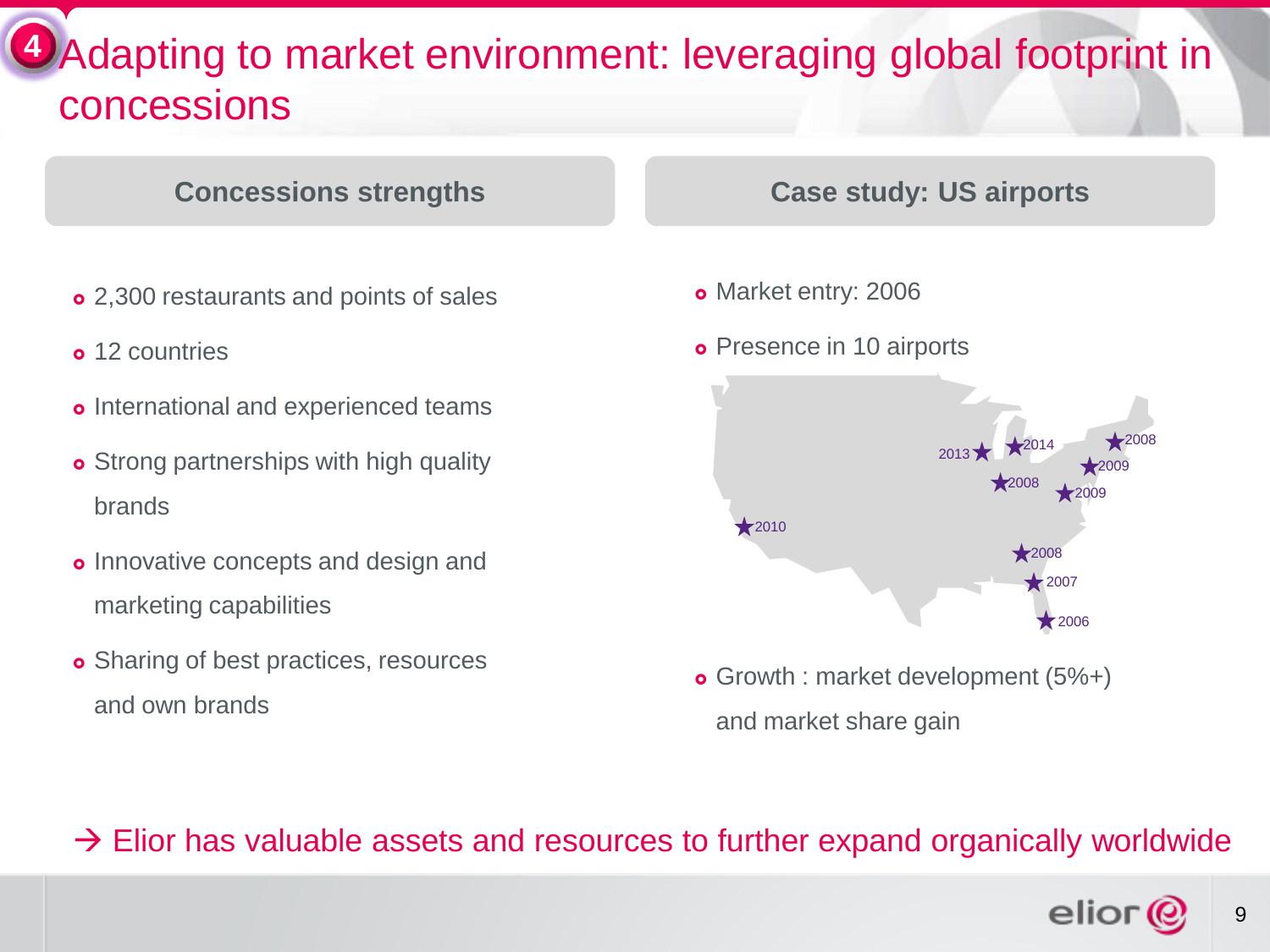#### **4** Adapting to market environment: leveraging global footprint in concessions

#### **Concessions strengths**

- 2,300 restaurants and points of sales
- o 12 countries
- o International and experienced teams
- **o** Strong partnerships with high quality brands
- **o** Innovative concepts and design and marketing capabilities
- **o** Sharing of best practices, resources and own brands

#### **Case study: US airports**

- o Market entry: 2006
- **o** Presence in 10 airports



 Growth : market development (5%+) and market share gain

 $\rightarrow$  Elior has valuable assets and resources to further expand organically worldwide

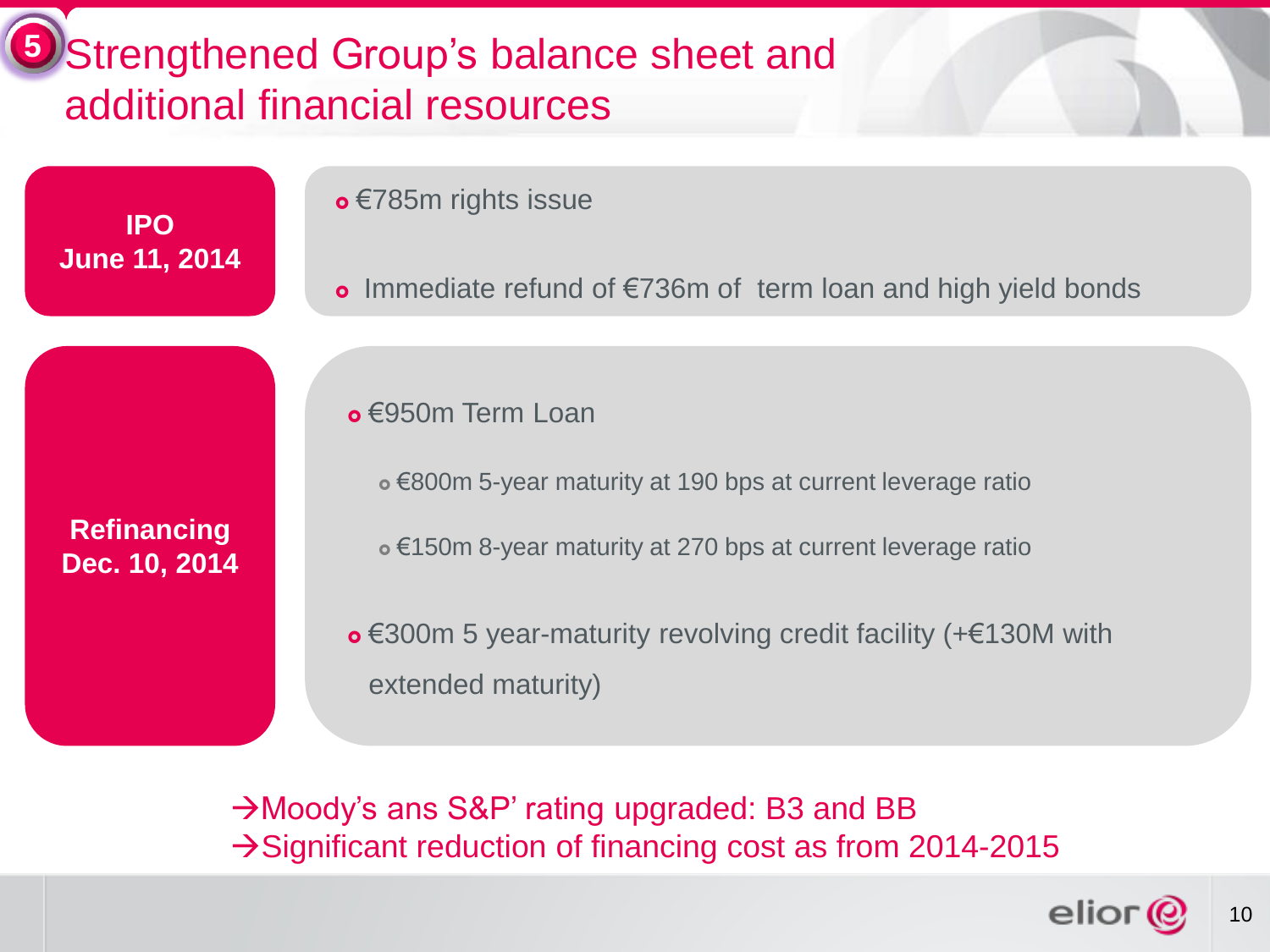#### Strengthened Group's balance sheet and additional financial resources **5**

**IPO June 11, 2014** • €785m rights issue

• Immediate refund of €736m of term loan and high yield bonds

€950m Term Loan

€800m 5-year maturity at 190 bps at current leverage ratio

€150m 8-year maturity at 270 bps at current leverage ratio

 €300m 5 year-maturity revolving credit facility (+€130M with extended maturity)

→ Moody's ans S&P' rating upgraded: B3 and BB  $\rightarrow$  Significant reduction of financing cost as from 2014-2015



10

**Refinancing Dec. 10, 2014**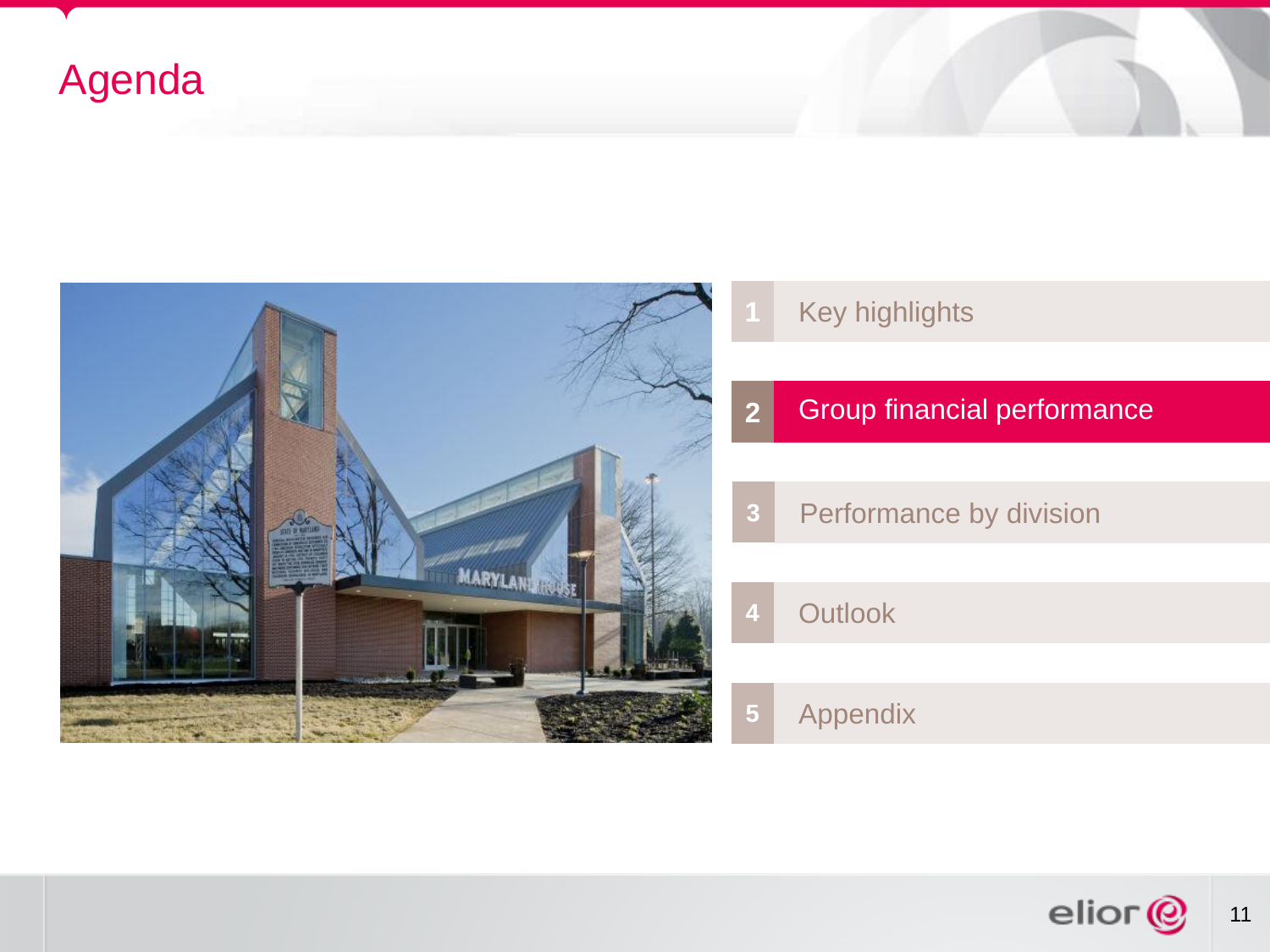## Agenda



- Key highlights
- Group financial performance
- Performance by division
	- Outlook

Appendix

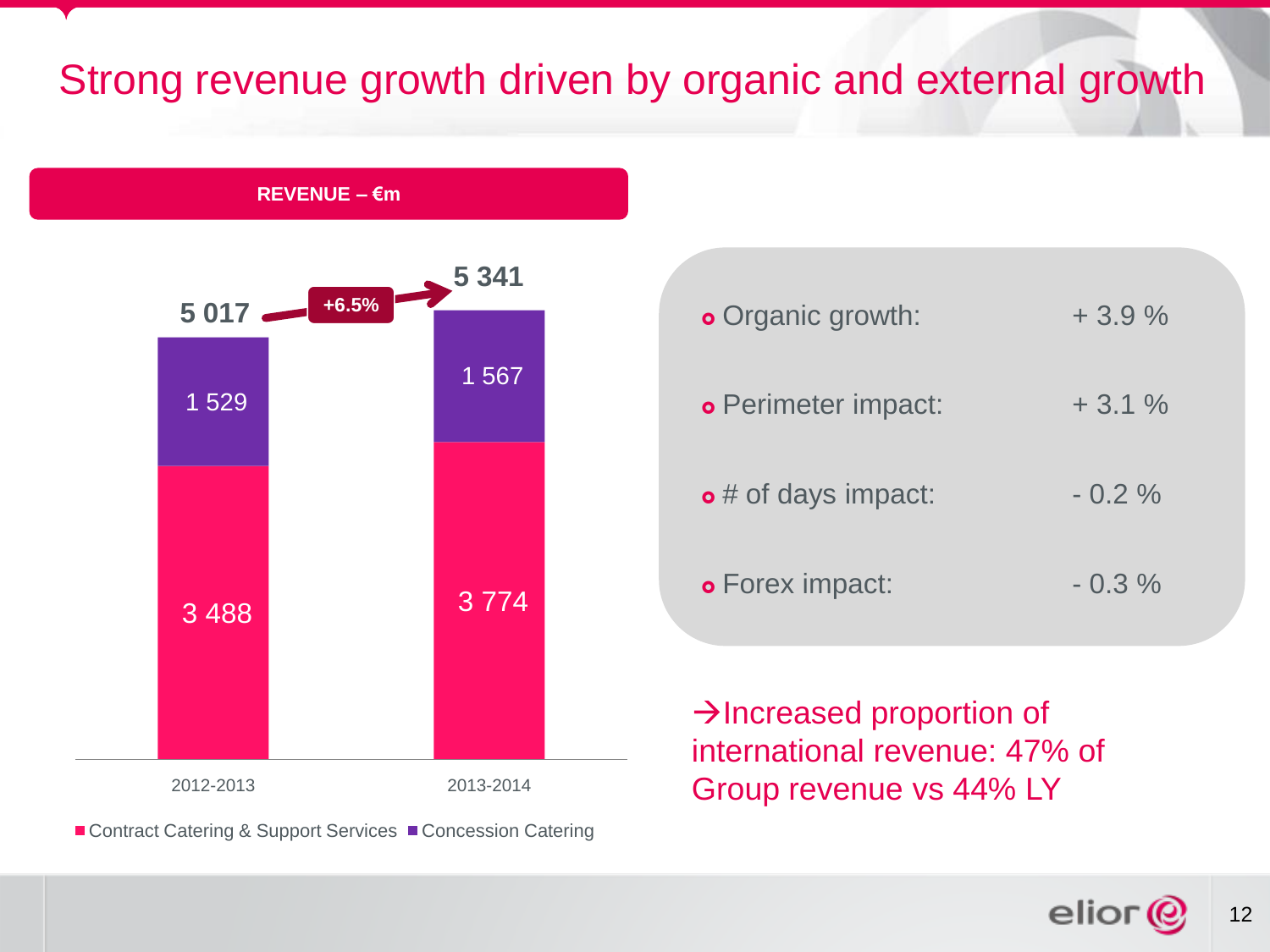### Strong revenue growth driven by organic and external growth

**REVENUE – €m** 



■ Contract Catering & Support Services ■ Concession Catering

| <b>o</b> Organic growth:    | $+3.9%$  |
|-----------------------------|----------|
| <b>o</b> Perimeter impact:  | $+3.1%$  |
| $\bullet$ # of days impact: | $-0.2\%$ |
| <b>o</b> Forex impact:      | $-0.3\%$ |

 $\rightarrow$  Increased proportion of international revenue: 47% of Group revenue vs 44% LY



12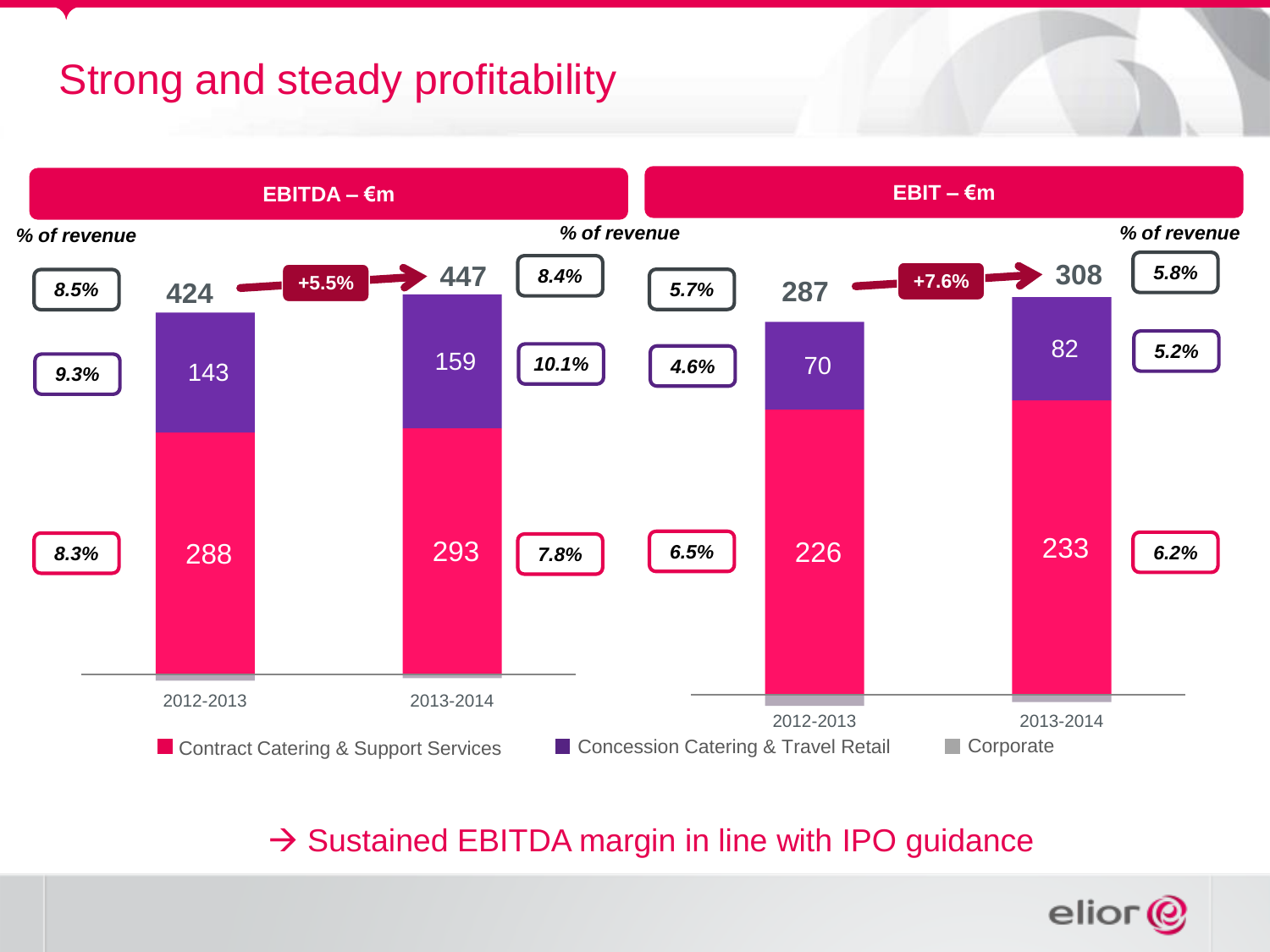## Strong and steady profitability



 $\rightarrow$  Sustained EBITDA margin in line with IPO guidance

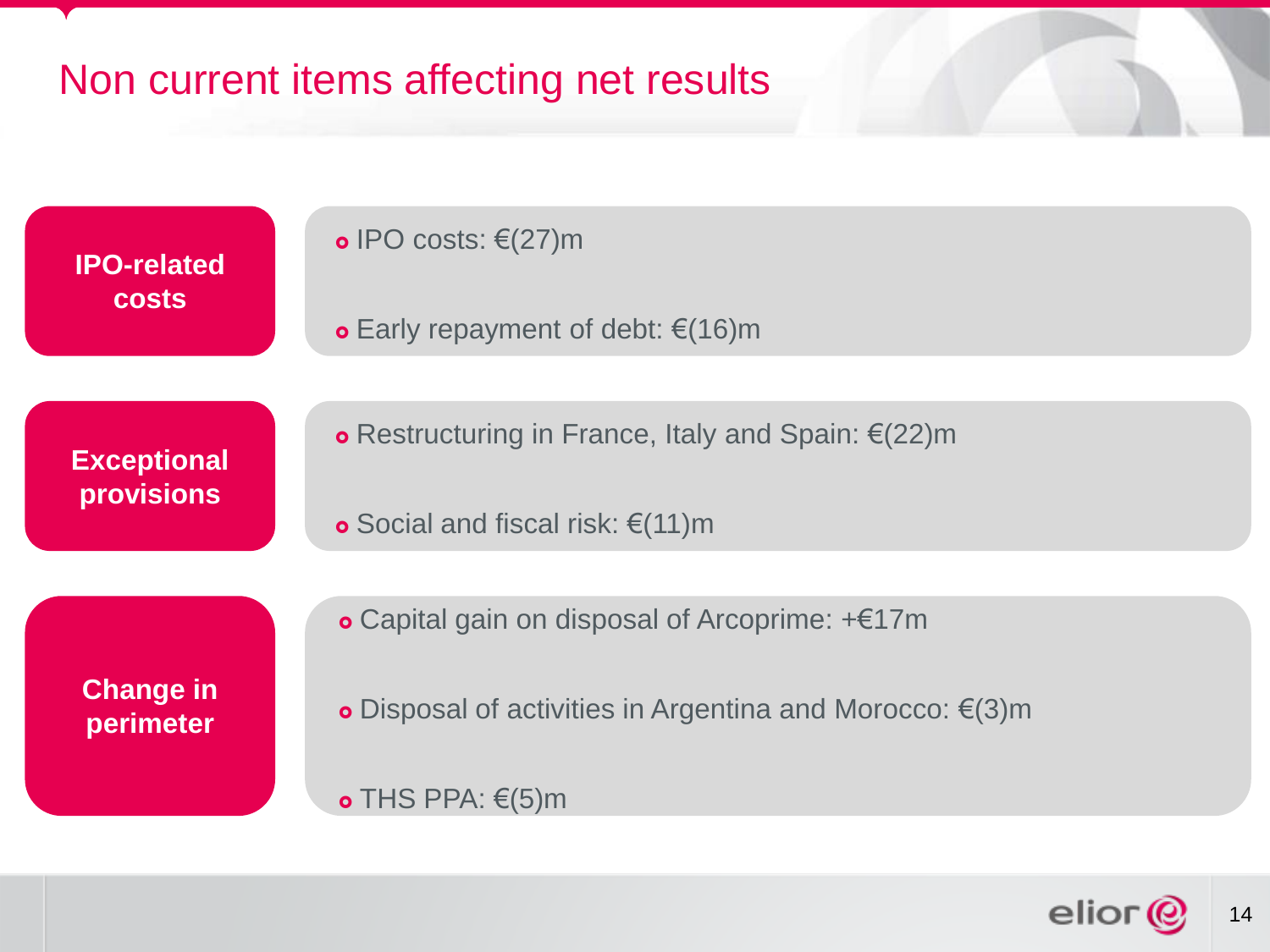

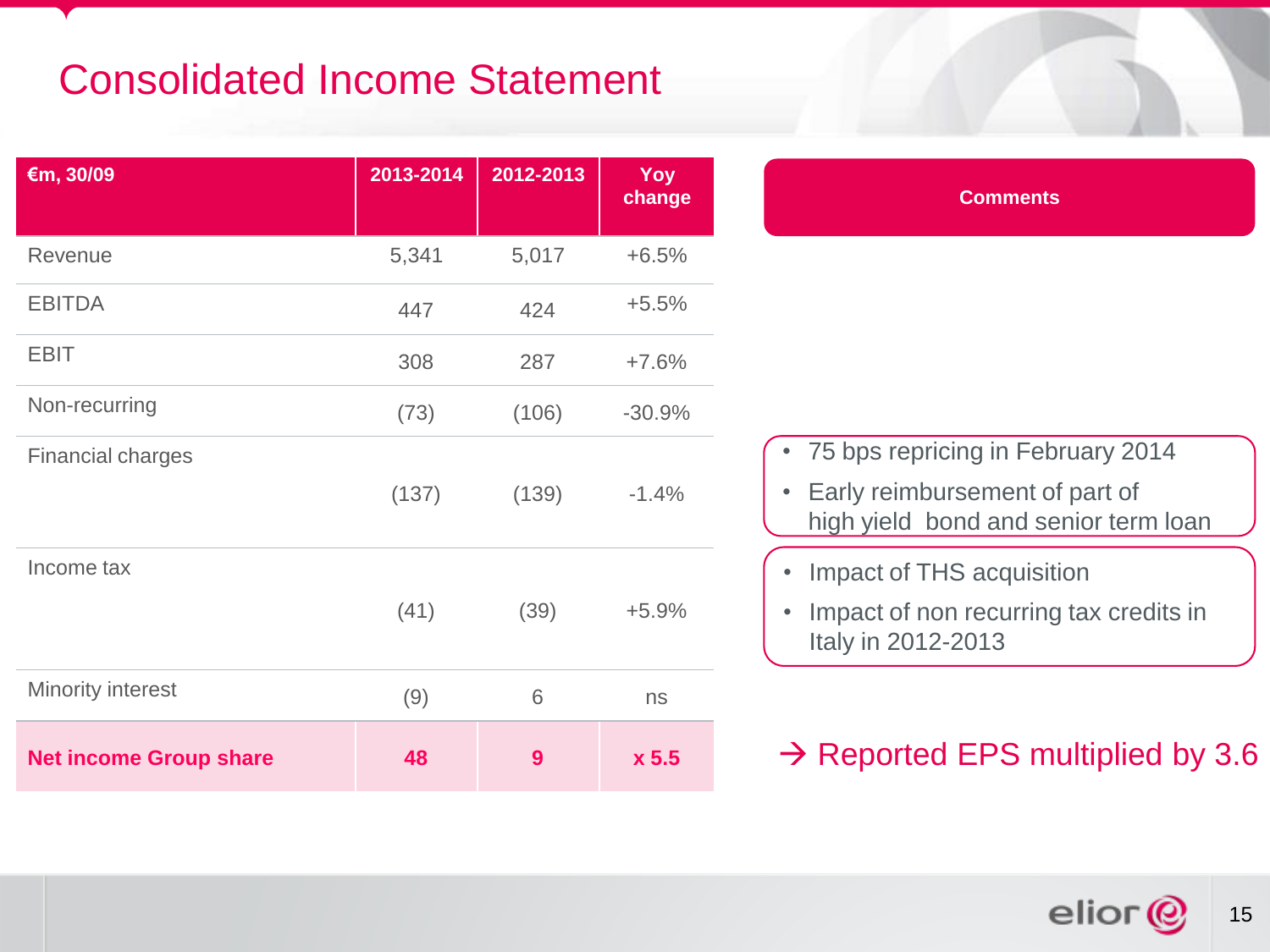## Consolidated Income Statement

| €m, 30/09                     | 2013-2014 | 2012-2013 | Yoy<br>change | <b>Comments</b>                                                                                                                       |
|-------------------------------|-----------|-----------|---------------|---------------------------------------------------------------------------------------------------------------------------------------|
| Revenue                       | 5,341     | 5,017     | $+6.5%$       |                                                                                                                                       |
| <b>EBITDA</b>                 | 447       | 424       | $+5.5%$       |                                                                                                                                       |
| <b>EBIT</b>                   | 308       | 287       | $+7.6%$       |                                                                                                                                       |
| Non-recurring                 | (73)      | (106)     | $-30.9%$      |                                                                                                                                       |
| <b>Financial charges</b>      | (137)     | (139)     | $-1.4%$       | 75 bps repricing in February 2014<br>$\bullet$<br>Early reimbursement of part of<br>$\bullet$<br>high yield bond and senior term loan |
| Income tax                    | (41)      | (39)      | $+5.9%$       | Impact of THS acquisition<br>$\bullet$<br>Impact of non recurring tax credits in<br>$\bullet$<br>Italy in 2012-2013                   |
| <b>Minority interest</b>      | (9)       | 6         | ns            |                                                                                                                                       |
| <b>Net income Group share</b> | 48        | 9         | x 5.5         | $\rightarrow$ Reported EPS multiplied by 3.6                                                                                          |

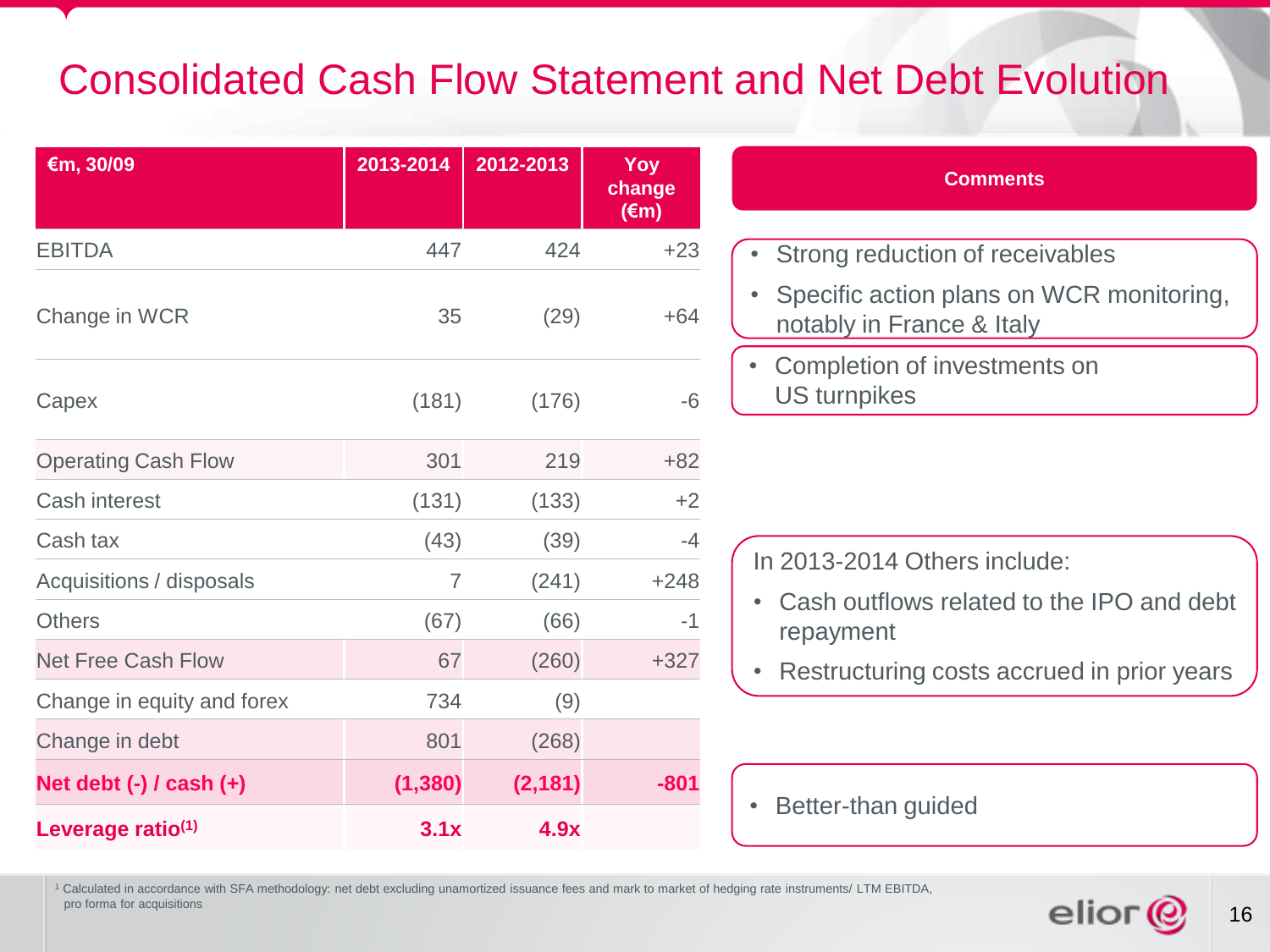### Consolidated Cash Flow Statement and Net Debt Evolution

| €m, 30/09                     | 2013-2014      | 2012-2013 | Yoy<br>change<br>$(\epsilon m)$ |
|-------------------------------|----------------|-----------|---------------------------------|
| <b>EBITDA</b>                 | 447            | 424       | $+23$                           |
| Change in WCR                 | 35             | (29)      | $+64$                           |
| Capex                         | (181)          | (176)     | $-6$                            |
| <b>Operating Cash Flow</b>    | 301            | 219       | $+82$                           |
| <b>Cash interest</b>          | (131)          | (133)     | $+2$                            |
| Cash tax                      | (43)           | (39)      | -4                              |
| Acquisitions / disposals      | $\overline{7}$ | (241)     | $+248$                          |
| <b>Others</b>                 | (67)           | (66)      | $-1$                            |
| <b>Net Free Cash Flow</b>     | 67             | (260)     | $+327$                          |
| Change in equity and forex    | 734            | (9)       |                                 |
| Change in debt                | 801            | (268)     |                                 |
| Net debt $(-)$ / cash $(+)$   | (1, 380)       | (2, 181)  | $-801$                          |
| Leverage ratio <sup>(1)</sup> | 3.1x           | 4.9x      |                                 |

| <b>Comments</b>                                                       |
|-----------------------------------------------------------------------|
| • Strong reduction of receivables                                     |
| Specific action plans on WCR monitoring,<br>notably in France & Italy |
| Completion of investments on<br><b>US</b> turnpikes                   |

In 2013-2014 Others include:

- Cash outflows related to the IPO and debt repayment
- Restructuring costs accrued in prior years

#### • Better-than guided

<sup>1</sup> Calculated in accordance with SFA methodology: net debt excluding unamortized issuance fees and mark to market of hedging rate instruments/ LTM EBITDA, pro forma for acquisitions

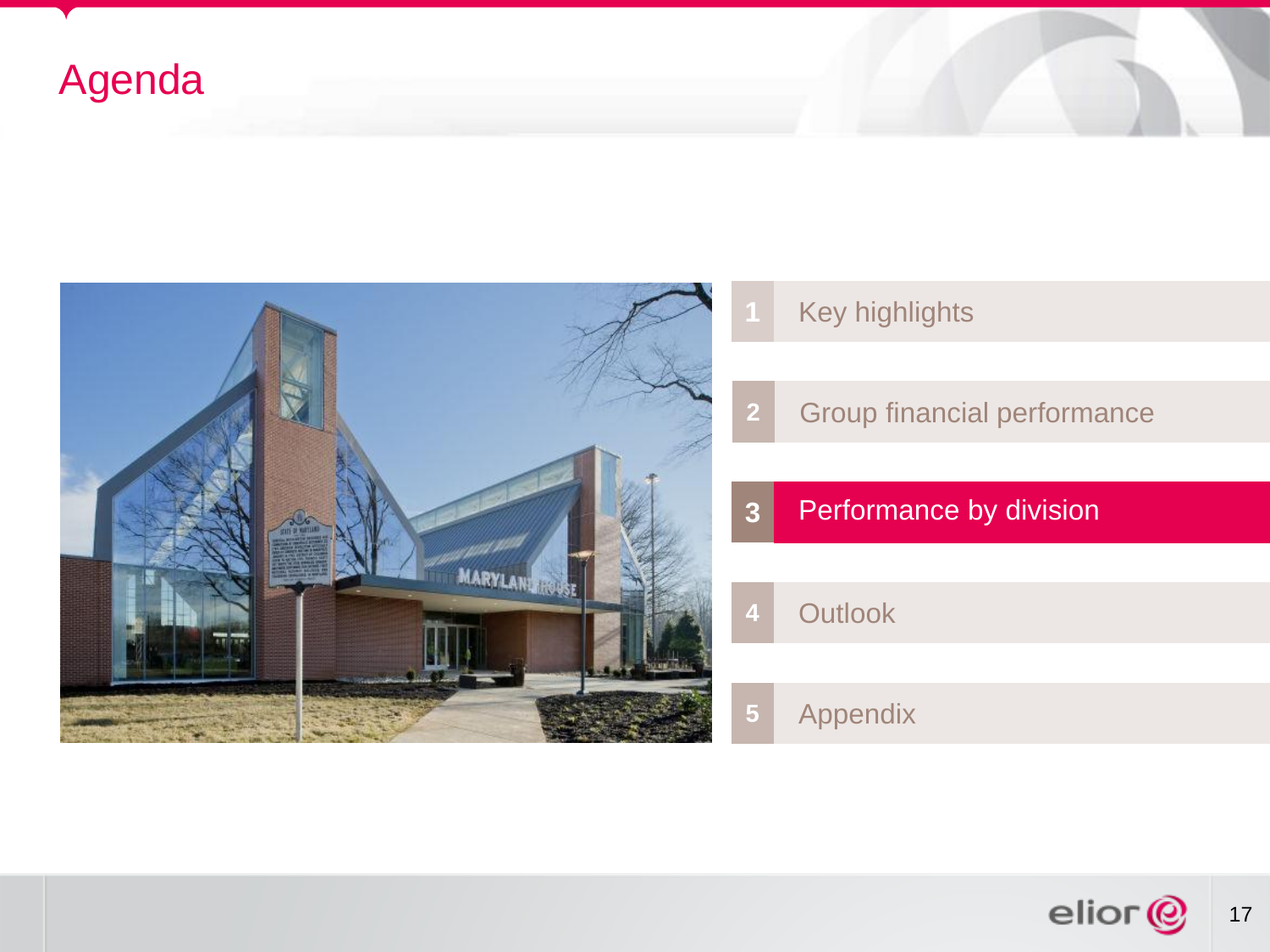## Agenda



- Key highlights
- Group financial performance
- Performance by division
	- Outlook
- Appendix

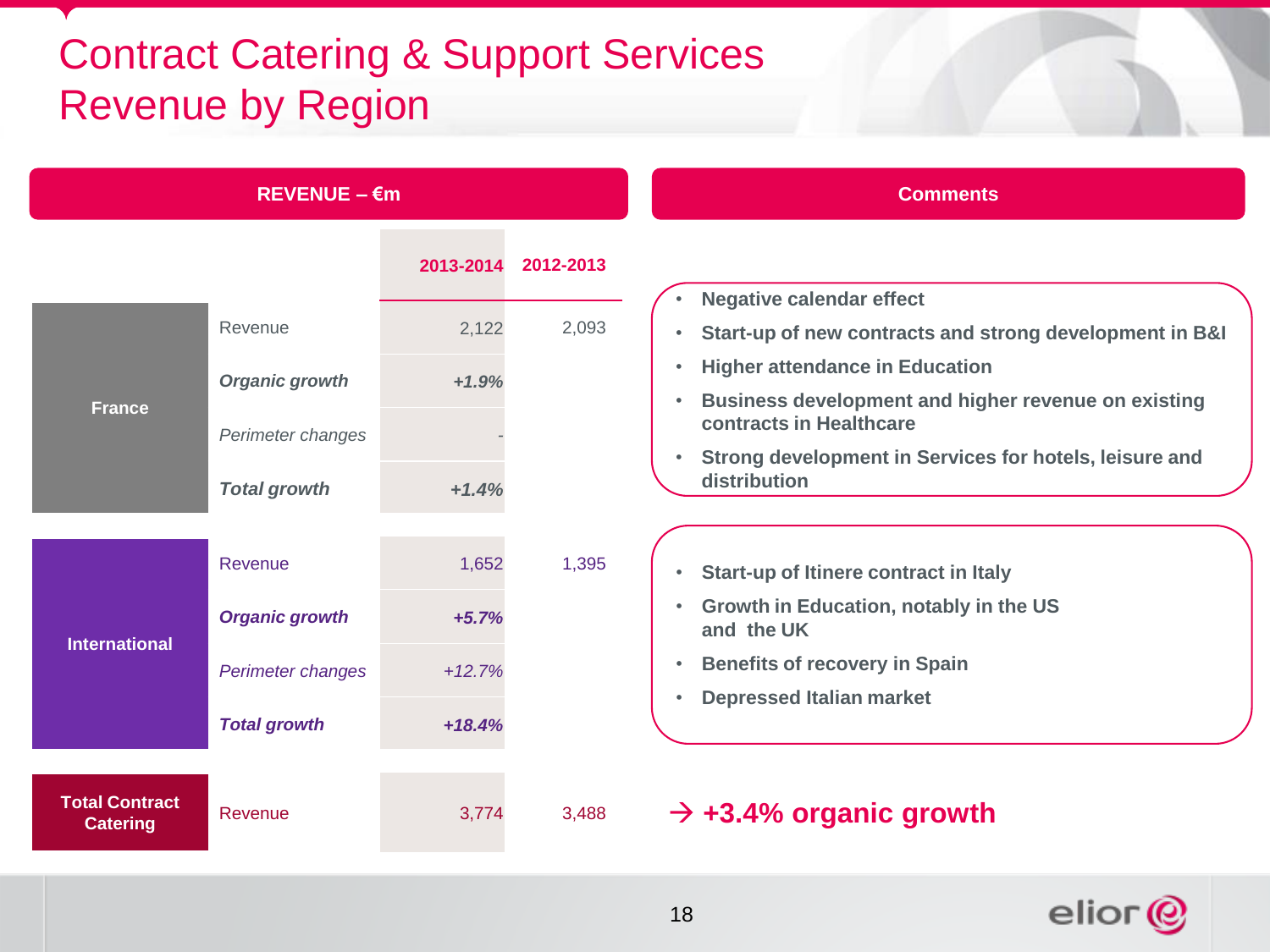## Contract Catering & Support Services Revenue by Region

|                                          | $REVENUE - \epsilon m$ |           |           | <b>Comments</b>                                                                                    |
|------------------------------------------|------------------------|-----------|-----------|----------------------------------------------------------------------------------------------------|
|                                          |                        | 2013-2014 | 2012-2013 | <b>Negative calendar effect</b>                                                                    |
|                                          | Revenue                | 2,122     | 2,093     | Start-up of new contracts and strong development in B&I<br>$\bullet$                               |
|                                          | <b>Organic growth</b>  | $+1.9%$   |           | <b>Higher attendance in Education</b><br>$\bullet$                                                 |
| <b>France</b>                            | Perimeter changes      |           |           | <b>Business development and higher revenue on existing</b><br>$\bullet$<br>contracts in Healthcare |
|                                          | <b>Total growth</b>    | $+1.4%$   |           | Strong development in Services for hotels, leisure and<br>$\bullet$<br>distribution                |
|                                          |                        |           |           |                                                                                                    |
|                                          | Revenue                | 1,652     | 1,395     | Start-up of Itinere contract in Italy<br>$\bullet$                                                 |
| <b>International</b>                     | <b>Organic growth</b>  | $+5.7%$   |           | Growth in Education, notably in the US<br>$\bullet$<br>and the UK                                  |
|                                          | Perimeter changes      | $+12.7%$  |           | <b>Benefits of recovery in Spain</b><br>$\bullet$                                                  |
|                                          | <b>Total growth</b>    | $+18.4%$  |           | <b>Depressed Italian market</b><br>$\bullet$                                                       |
| <b>Total Contract</b><br><b>Catering</b> | Revenue                | 3,774     | 3,488     | $\rightarrow$ +3.4% organic growth                                                                 |

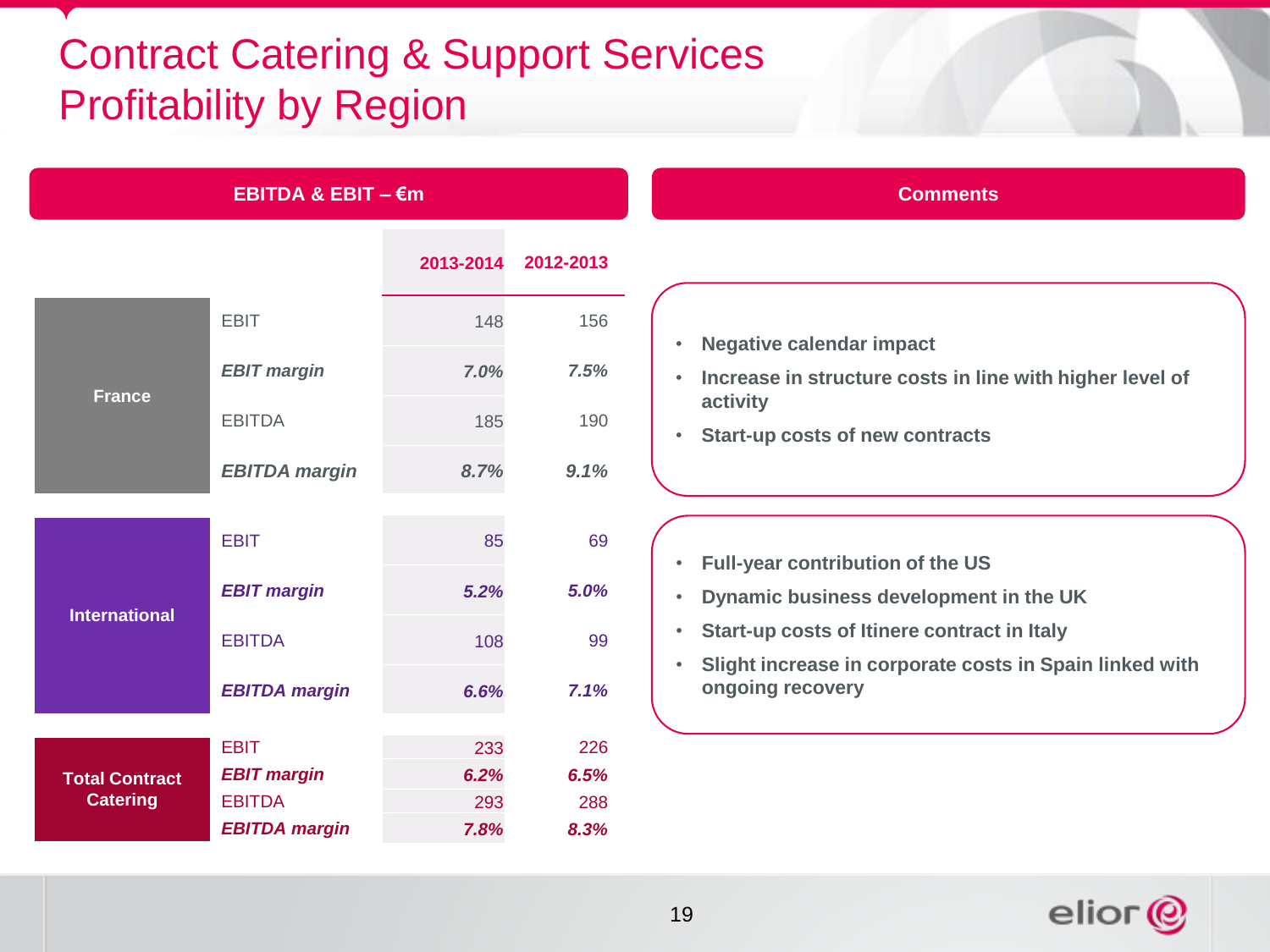## Contract Catering & Support Services Profitability by Region

| EBITDA & EBIT $ \epsilon$ m |                      |      |                     |  |
|-----------------------------|----------------------|------|---------------------|--|
|                             |                      |      | 2013-2014 2012-2013 |  |
|                             | <b>EBIT</b>          | 148  | 156                 |  |
|                             | <b>EBIT margin</b>   | 7.0% | 7.5%                |  |
| <b>France</b>               | <b>EBITDA</b>        | 185  | 190                 |  |
|                             | <b>EBITDA margin</b> | 8.7% | 9.1%                |  |
|                             |                      |      |                     |  |
| <b>International</b>        | <b>EBIT</b>          | 85   | 69                  |  |
|                             | <b>EBIT margin</b>   | 5.2% | 5.0%                |  |
|                             | <b>EBITDA</b>        | 108  | 99                  |  |
|                             | <b>EBITDA</b> margin | 6.6% | 7.1%                |  |
|                             |                      |      |                     |  |
|                             | <b>EBIT</b>          | 233  | 226                 |  |
| <b>Total Contract</b>       | <b>EBIT margin</b>   | 6.2% | 6.5%                |  |
| <b>Catering</b>             | <b>EBITDA</b>        | 293  | 288                 |  |
|                             | <b>EBITDA margin</b> | 7.8% | 8.3%                |  |

## **Comments**

- **Negative calendar impact**
- **Increase in structure costs in line with higher level of activity**
- **Start-up costs of new contracts**

- **Full-year contribution of the US**
- **Dynamic business development in the UK**
- **Start-up costs of Itinere contract in Italy**
- **Slight increase in corporate costs in Spain linked with ongoing recovery**

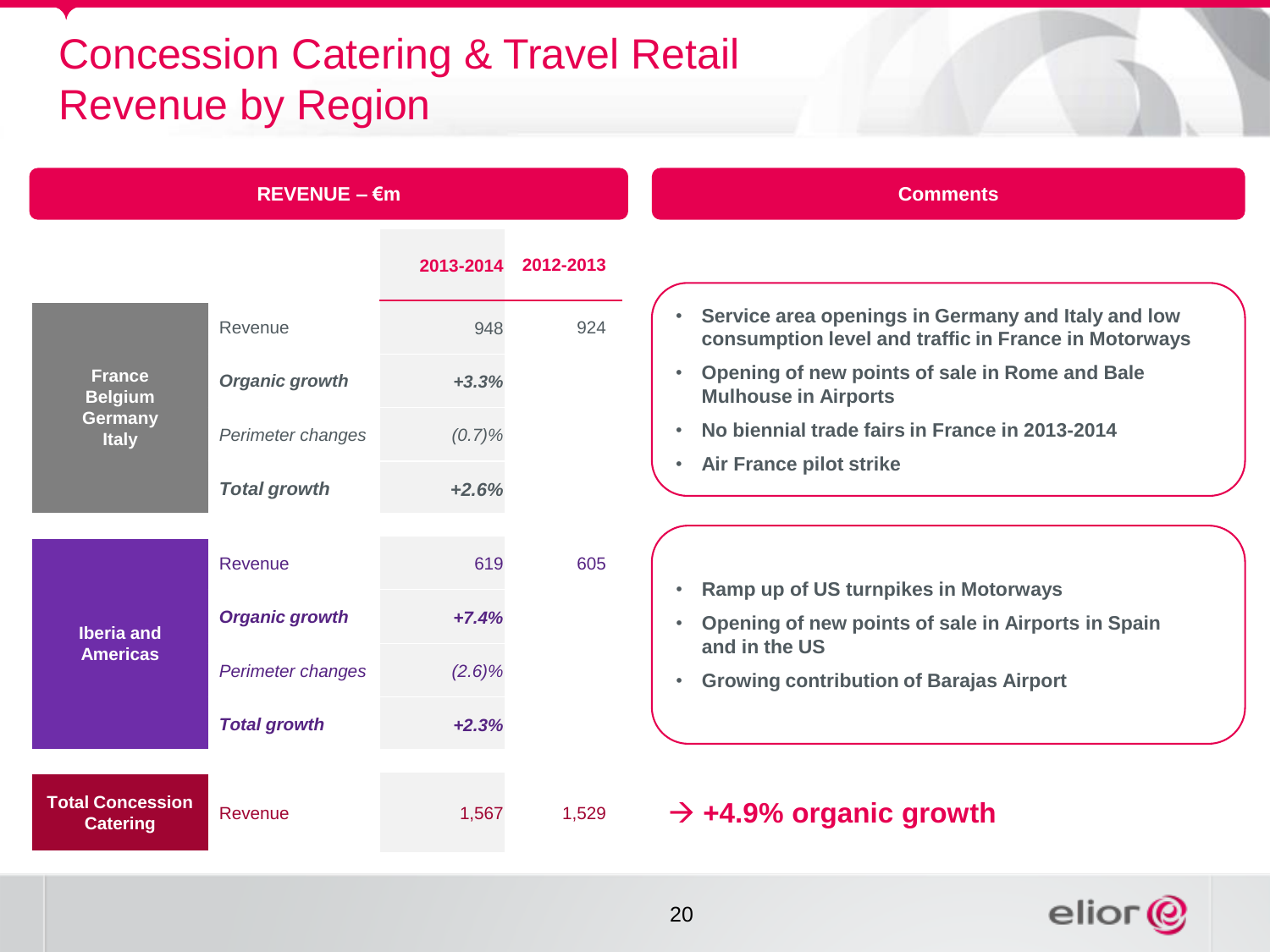## Concession Catering & Travel Retail Revenue by Region

|                                            | $REVENUE - \epsilon m$ |           |                     | <b>Comments</b>                                                                                             |
|--------------------------------------------|------------------------|-----------|---------------------|-------------------------------------------------------------------------------------------------------------|
|                                            |                        |           | 2013-2014 2012-2013 |                                                                                                             |
|                                            | Revenue                | 948       | 924                 | Service area openings in Germany and Italy and low<br>consumption level and traffic in France in Motorways  |
| <b>France</b><br><b>Belgium</b>            | <b>Organic growth</b>  | $+3.3%$   |                     | Opening of new points of sale in Rome and Bale<br><b>Mulhouse in Airports</b>                               |
| <b>Germany</b><br><b>Italy</b>             | Perimeter changes      | (0.7)%    |                     | No biennial trade fairs in France in 2013-2014<br>$\bullet$                                                 |
|                                            | <b>Total growth</b>    | $+2.6%$   |                     | <b>Air France pilot strike</b><br>$\bullet$                                                                 |
|                                            | Revenue                | 619       | 605                 |                                                                                                             |
| <b>Iberia</b> and                          | <b>Organic growth</b>  | $+7.4%$   |                     | Ramp up of US turnpikes in Motorways<br>Opening of new points of sale in Airports in Spain<br>and in the US |
| <b>Americas</b>                            | Perimeter changes      | $(2.6)\%$ |                     | <b>Growing contribution of Barajas Airport</b><br>$\bullet$                                                 |
|                                            | <b>Total growth</b>    | $+2.3%$   |                     |                                                                                                             |
| <b>Total Concession</b><br><b>Catering</b> | Revenue                | 1,567     | 1,529               | $\rightarrow$ +4.9% organic growth                                                                          |

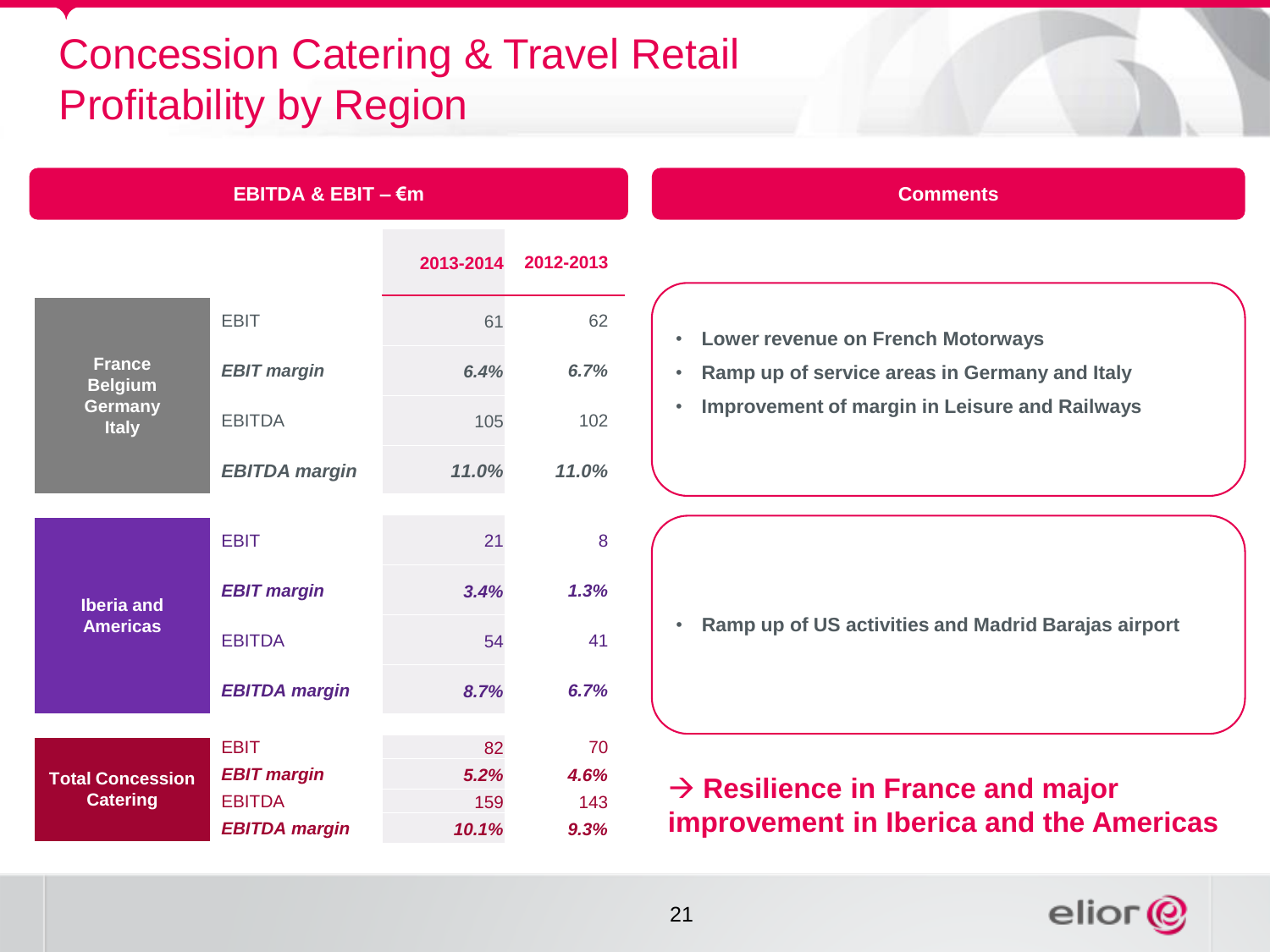## Concession Catering & Travel Retail Profitability by Region

| <b>EBITDA &amp; EBIT – €m</b>        |                      |           |           |  |
|--------------------------------------|----------------------|-----------|-----------|--|
|                                      |                      | 2013-2014 | 2012-2013 |  |
|                                      | <b>EBIT</b>          | 61        | 62        |  |
| <b>France</b><br><b>Belgium</b>      | <b>EBIT margin</b>   | 6.4%      | 6.7%      |  |
| Germany<br><b>Italy</b>              | <b>EBITDA</b>        | 105       | 102       |  |
|                                      | <b>EBITDA</b> margin | 11.0%     | 11.0%     |  |
|                                      |                      |           |           |  |
| <b>Iberia and</b><br><b>Americas</b> | <b>EBIT</b>          | 21        | 8         |  |
|                                      | <b>EBIT margin</b>   | 3.4%      | 1.3%      |  |
|                                      | <b>EBITDA</b>        | 54        | 41        |  |
|                                      | <b>EBITDA margin</b> | 8.7%      | 6.7%      |  |
|                                      |                      |           |           |  |
|                                      | <b>EBIT</b>          | 82        | 70        |  |
| <b>Total Concession</b>              | <b>EBIT margin</b>   | 5.2%      | 4.6%      |  |
| <b>Catering</b>                      | <b>EBITDA</b>        | 159       | 143       |  |
|                                      | <b>EBITDA margin</b> | 10.1%     | 9.3%      |  |

#### **Comments**

#### • **Lower revenue on French Motorways**

- **Ramp up of service areas in Germany and Italy**
- **Improvement of margin in Leisure and Railways**

• **Ramp up of US activities and Madrid Barajas airport**

#### $→$  **Resilience in France and major improvement in Iberica and the Americas**

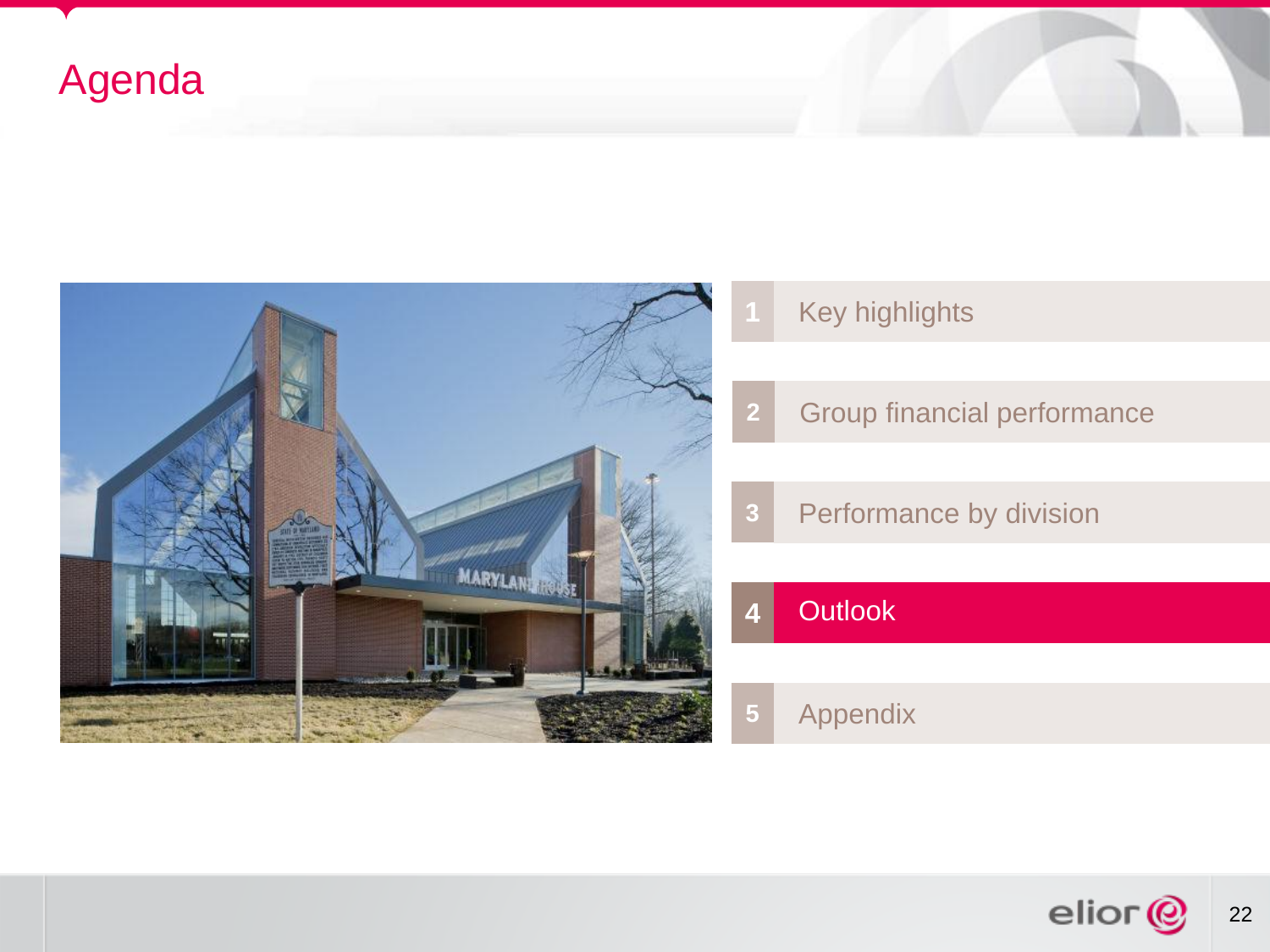## Agenda



- Key highlights
- Group financial performance
- Performance by division

#### Outlook

#### Appendix

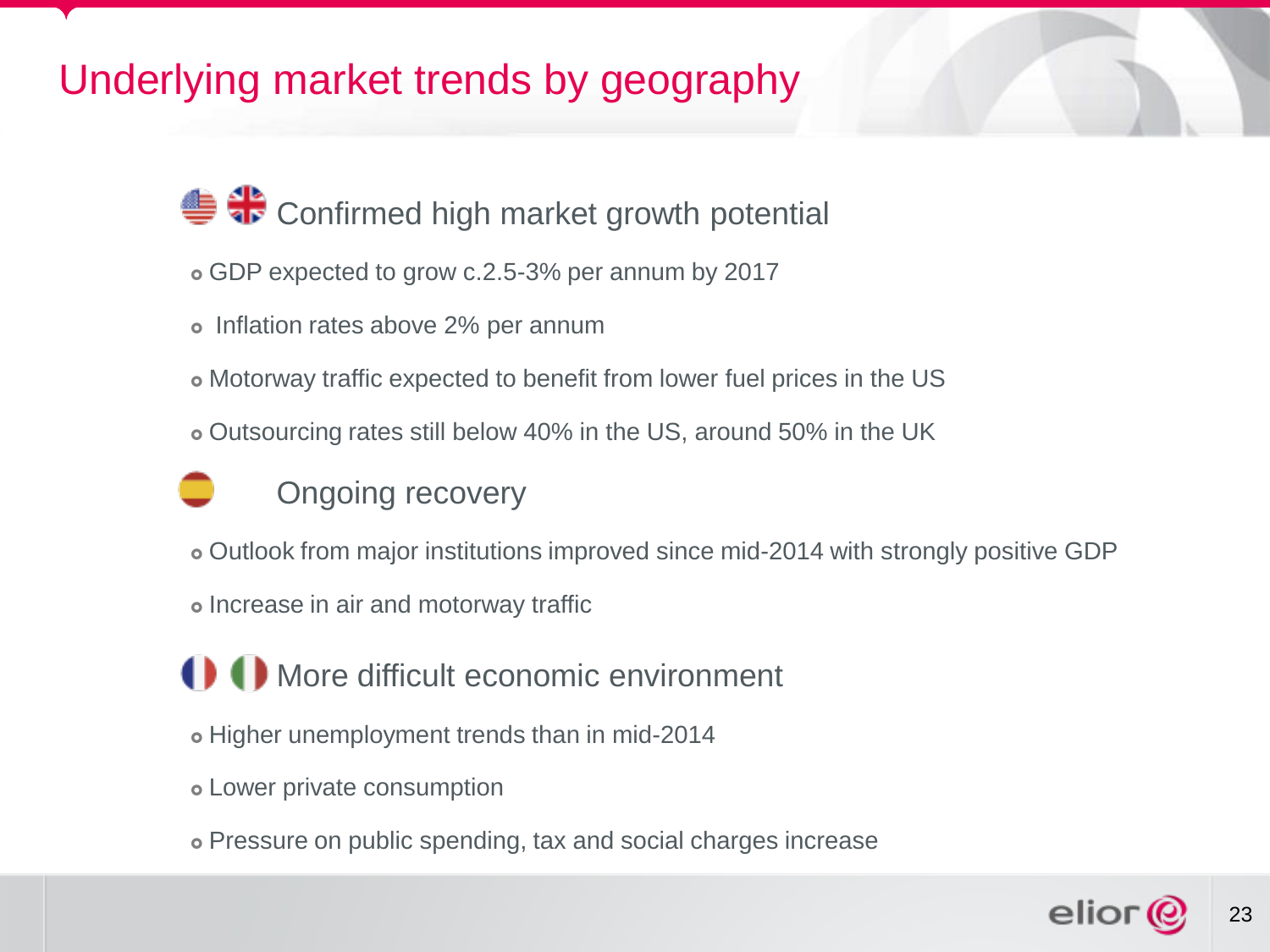## Underlying market trends by geography

<del>● </del> 10 Confirmed high market growth potential

- GDP expected to grow c.2.5-3% per annum by 2017
- o Inflation rates above 2% per annum
- Motorway traffic expected to benefit from lower fuel prices in the US
- Outsourcing rates still below 40% in the US, around 50% in the UK



- Outlook from major institutions improved since mid-2014 with strongly positive GDP
- o Increase in air and motorway traffic

**1** More difficult economic environment

- Higher unemployment trends than in mid-2014
- Lower private consumption
- Pressure on public spending, tax and social charges increase

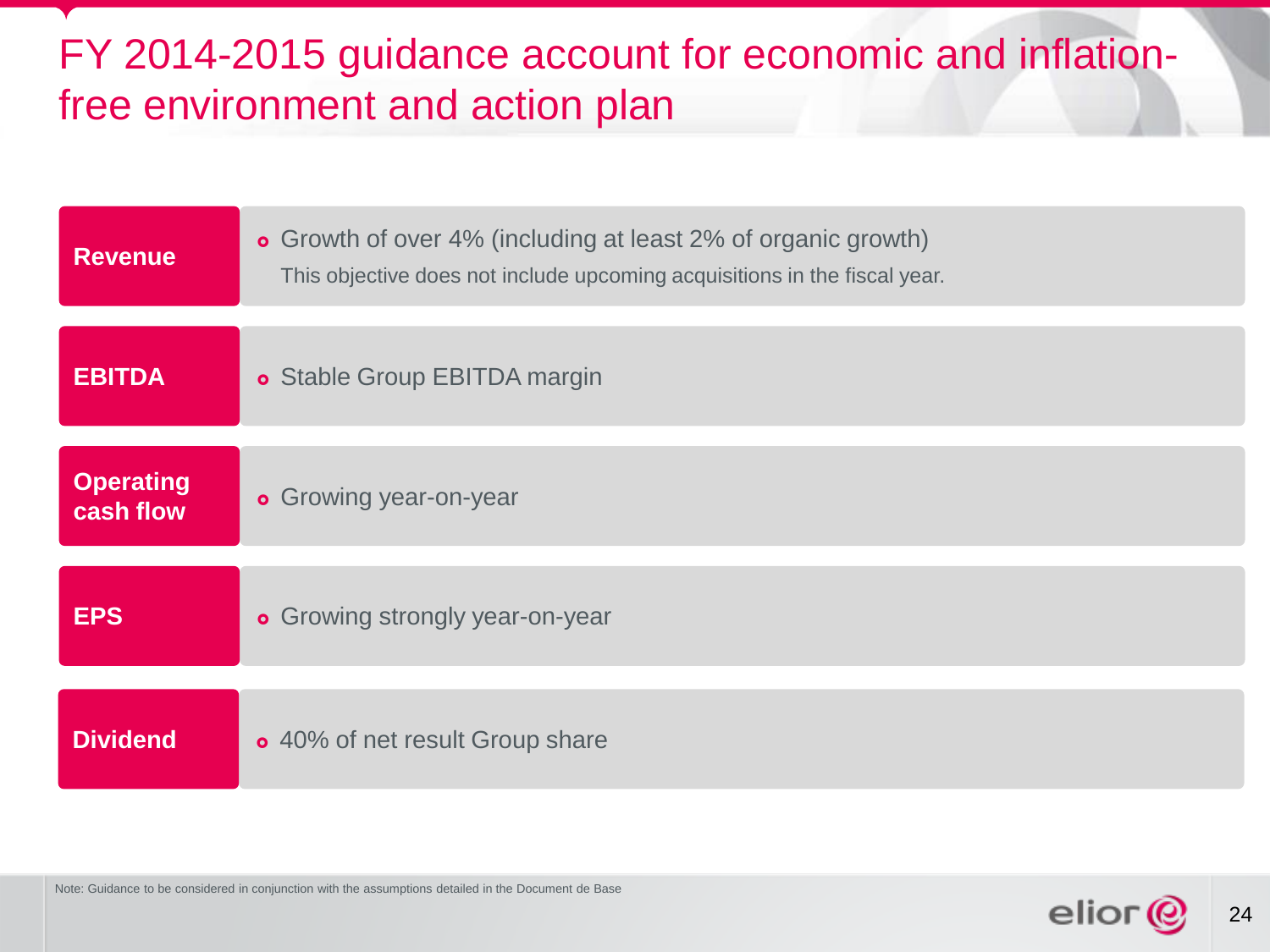## FY 2014-2015 guidance account for economic and inflationfree environment and action plan

| <b>Revenue</b>                | • Growth of over 4% (including at least 2% of organic growth)<br>This objective does not include upcoming acquisitions in the fiscal year. |
|-------------------------------|--------------------------------------------------------------------------------------------------------------------------------------------|
| <b>EBITDA</b>                 | <b>o</b> Stable Group EBITDA margin                                                                                                        |
| <b>Operating</b><br>cash flow | <b>•</b> Growing year-on-year                                                                                                              |
| <b>EPS</b>                    | <b>• Growing strongly year-on-year</b>                                                                                                     |
| <b>Dividend</b>               | o 40% of net result Group share                                                                                                            |

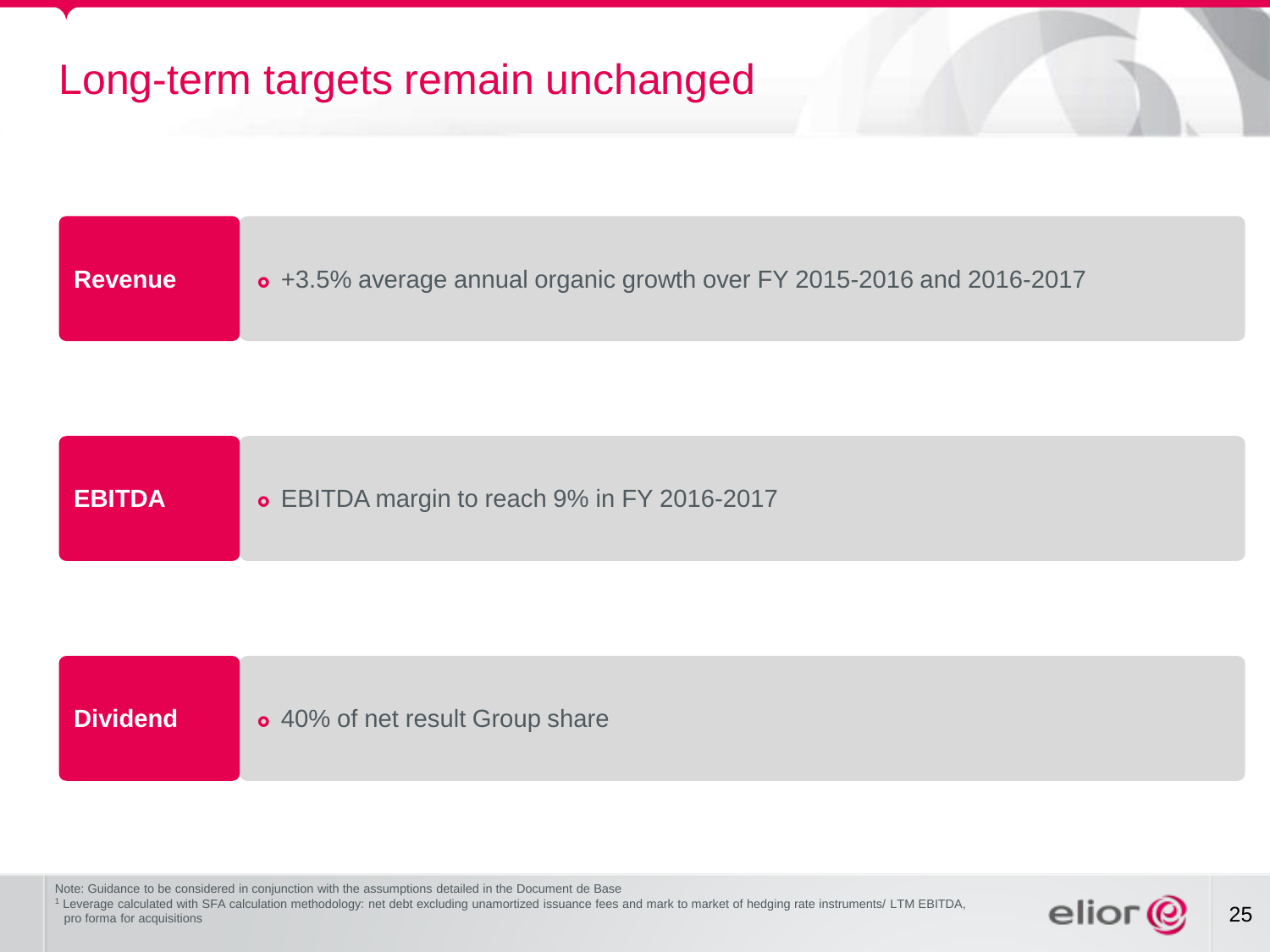## Long-term targets remain unchanged

| <b>Revenue</b> | o +3.5% average annual organic growth over FY 2015-2016 and 2016-2017 |
|----------------|-----------------------------------------------------------------------|
|----------------|-----------------------------------------------------------------------|

| <b>EBITDA</b> | <b>• EBITDA margin to reach 9% in FY 2016-2017</b> |
|---------------|----------------------------------------------------|
|---------------|----------------------------------------------------|

**Dividend c** 40% of net result Group share

Note: Guidance to be considered in conjunction with the assumptions detailed in the Document de Base

<sup>1</sup> Leverage calculated with SFA calculation methodology: net debt excluding unamortized issuance fees and mark to market of hedging rate instruments/ LTM EBITDA, pro forma for acquisitions

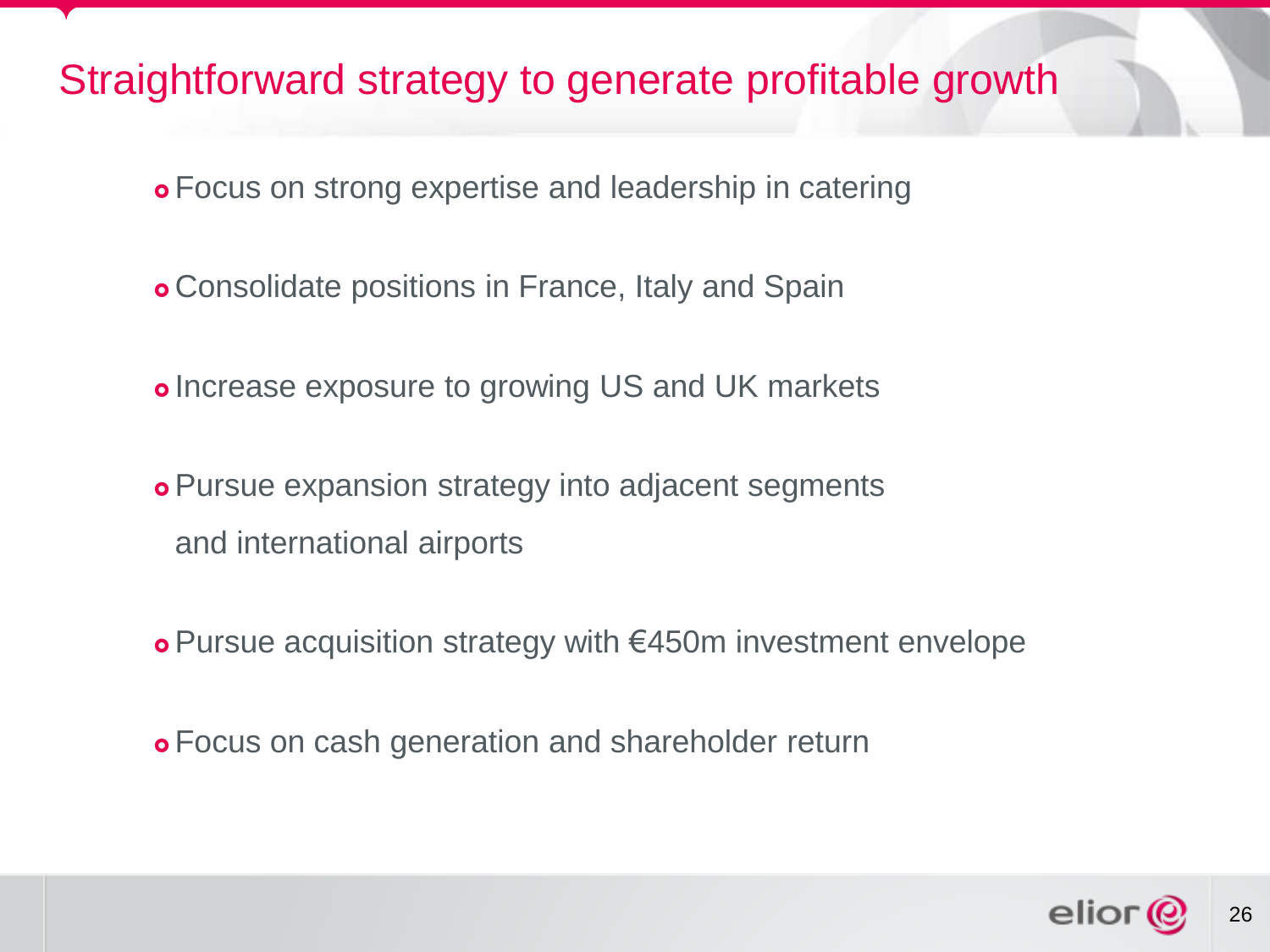#### Straightforward strategy to generate profitable growth

- Focus on strong expertise and leadership in catering
- Consolidate positions in France, Italy and Spain
- o Increase exposure to growing US and UK markets
- Pursue expansion strategy into adjacent segments and international airports
- Pursue acquisition strategy with €450m investment envelope
- Focus on cash generation and shareholder return

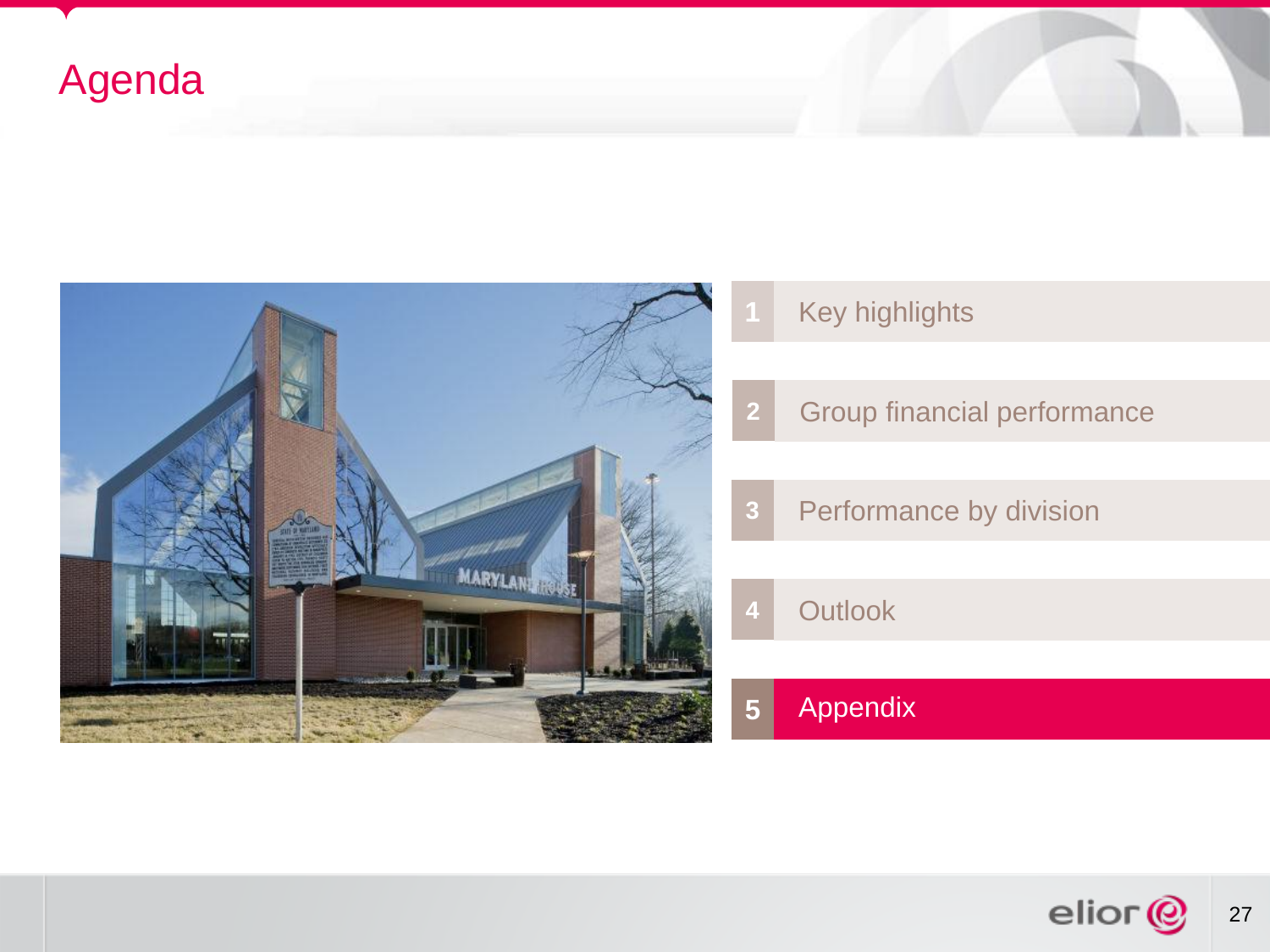## Agenda



- Key highlights
- Group financial performance
- Performance by division
- Outlook

#### Appendix

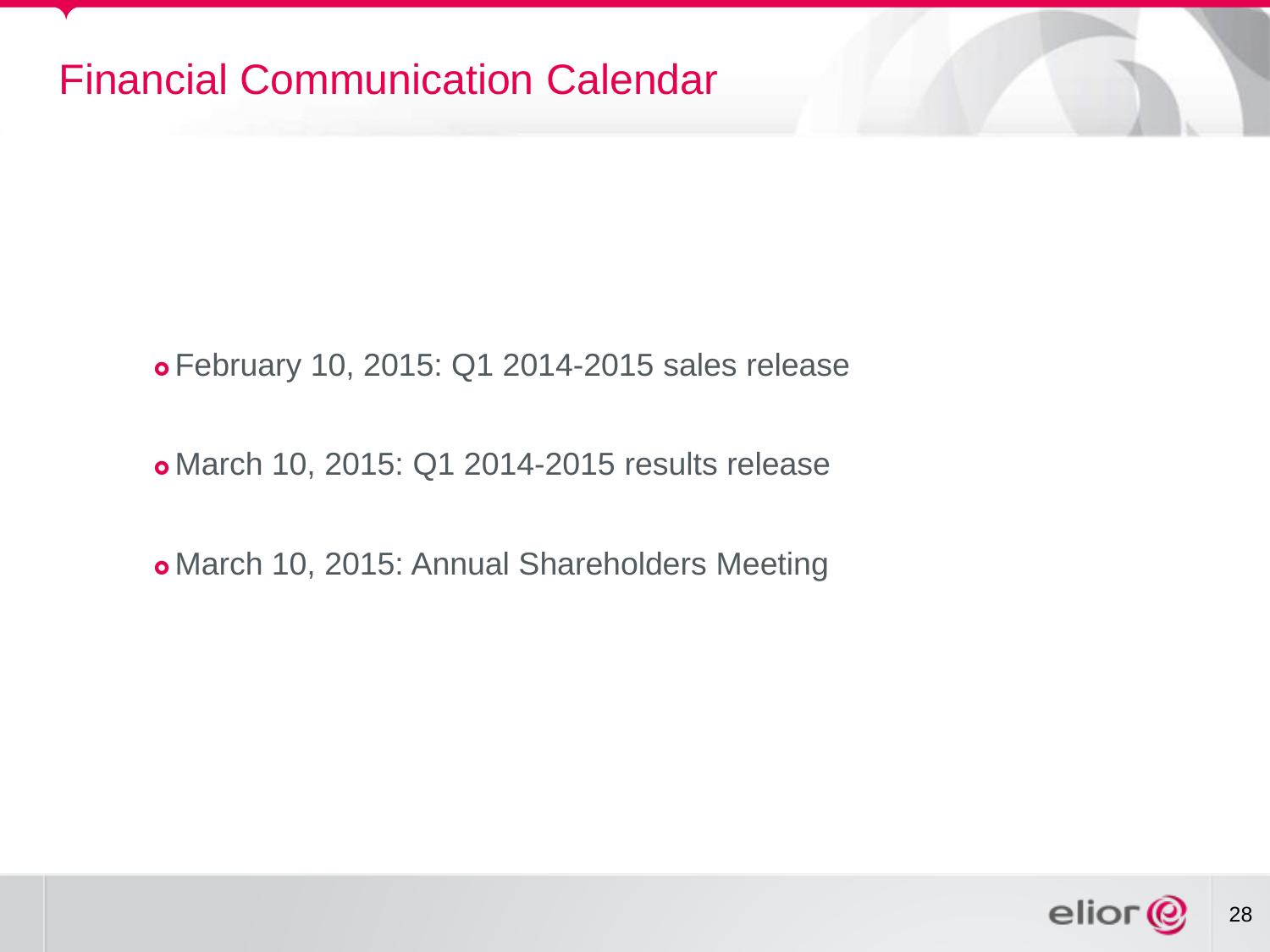#### Financial Communication Calendar

February 10, 2015: Q1 2014-2015 sales release

March 10, 2015: Q1 2014-2015 results release

March 10, 2015: Annual Shareholders Meeting